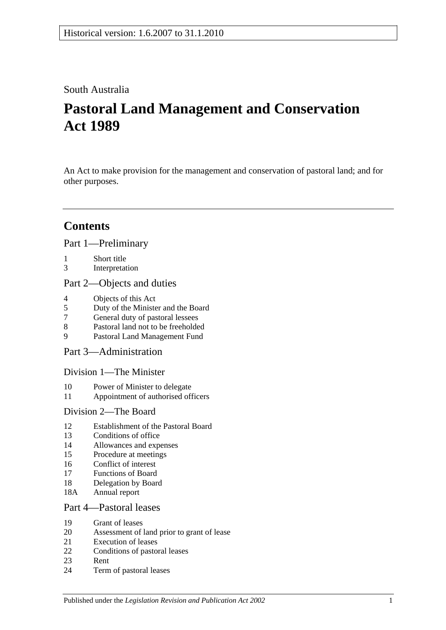## South Australia

# **Pastoral Land Management and Conservation Act 1989**

An Act to make provision for the management and conservation of pastoral land; and for other purposes.

# **Contents**

[Part 1—Preliminary](#page-2-0)

- 1 [Short title](#page-2-1)
- 3 [Interpretation](#page-2-2)

## [Part 2—Objects and duties](#page-4-0)

- 4 [Objects of this Act](#page-4-1)<br>5 Duty of the Minister
- 5 [Duty of the Minister and the Board](#page-4-2)
- 7 [General duty of pastoral lessees](#page-5-0)
- 8 [Pastoral land not to be freeholded](#page-5-1)
- 9 [Pastoral Land Management Fund](#page-5-2)

[Part 3—Administration](#page-6-0)

[Division 1—The Minister](#page-6-1)

- 10 [Power of Minister to delegate](#page-6-2)
- 11 [Appointment of authorised officers](#page-6-3)

## [Division 2—The Board](#page-6-4)

- 12 [Establishment of the Pastoral Board](#page-6-5)
- 13 [Conditions of office](#page-7-0)
- 14 [Allowances and expenses](#page-8-0)
- 15 [Procedure at meetings](#page-8-1)
- 16 [Conflict of interest](#page-8-2)
- 17 [Functions of Board](#page-10-0)
- 18 [Delegation by Board](#page-10-1)
- 18A [Annual report](#page-10-2)

## [Part 4—Pastoral leases](#page-10-3)

- 19 [Grant of leases](#page-10-4)
- 20 [Assessment of land prior to grant of lease](#page-11-0)
- 21 [Execution of leases](#page-11-1)
- 22 [Conditions of pastoral leases](#page-11-2)
- 23 [Rent](#page-13-0)
- 24 [Term of pastoral leases](#page-14-0)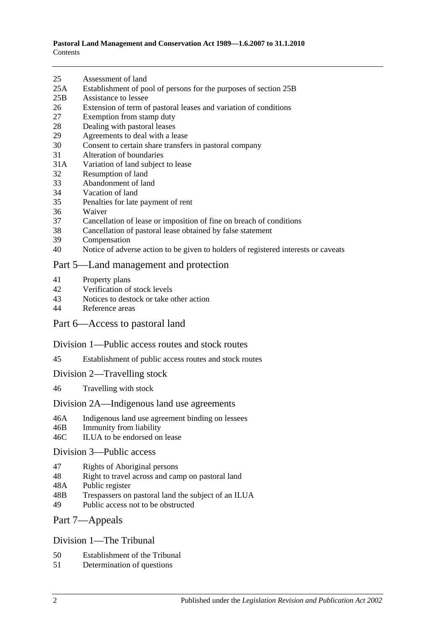- 25 [Assessment of land](#page-15-0)
- 25A [Establishment of pool of persons for the purposes of section](#page-15-1) 25B
- 25B [Assistance to lessee](#page-16-0)
- 26 [Extension of term of pastoral leases and variation of conditions](#page-17-0)
- 27 [Exemption from stamp duty](#page-18-0)
- 28 [Dealing with pastoral leases](#page-18-1)
- 29 [Agreements to deal with a lease](#page-18-2)
- 30 [Consent to certain share transfers in pastoral company](#page-18-3)
- 31 [Alteration of boundaries](#page-19-0)
- 31A [Variation of land subject to lease](#page-19-1)
- 32 [Resumption of land](#page-20-0)
- 33 [Abandonment of land](#page-20-1)
- 34 [Vacation of land](#page-20-2)
- 35 [Penalties for late payment of rent](#page-20-3)
- 36 [Waiver](#page-21-0)
- 37 [Cancellation of lease or imposition of fine on breach of conditions](#page-21-1)
- 38 [Cancellation of pastoral lease obtained by false statement](#page-21-2)
- 39 [Compensation](#page-21-3)
- 40 [Notice of adverse action to be given to holders of registered interests or caveats](#page-22-0)

#### [Part 5—Land management and protection](#page-22-1)

- 41 [Property plans](#page-22-2)
- 42 [Verification of stock levels](#page-23-0)
- 43 [Notices to destock or take other action](#page-24-0)<br>44 Reference areas
- [Reference areas](#page-24-1)

#### [Part 6—Access to pastoral land](#page-25-0)

#### [Division 1—Public access routes and stock routes](#page-25-1)

- 45 [Establishment of public access routes and stock routes](#page-25-2)
- [Division 2—Travelling stock](#page-26-0)
- 46 [Travelling with stock](#page-26-1)

#### [Division 2A—Indigenous land use agreements](#page-27-0)

- 46A [Indigenous land use agreement binding on lessees](#page-27-1)
- 46B [Immunity from liability](#page-27-2)
- 46C [ILUA to be endorsed on lease](#page-28-0)

#### [Division 3—Public access](#page-28-1)

- 47 [Rights of Aboriginal persons](#page-28-2)
- 48 [Right to travel across and camp on pastoral land](#page-29-0)
- 48A [Public register](#page-30-0)
- 48B [Trespassers on pastoral land the subject of an ILUA](#page-31-0)
- 49 [Public access not to be obstructed](#page-31-1)

#### [Part 7—Appeals](#page-32-0)

#### [Division 1—The Tribunal](#page-32-1)

- 50 [Establishment of the Tribunal](#page-32-2)
- 51 [Determination](#page-32-3) of questions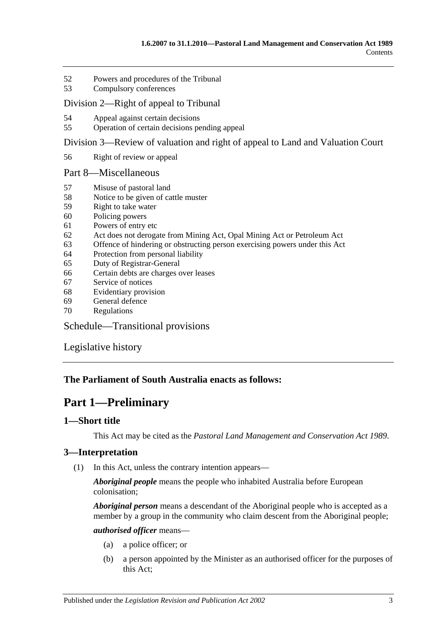- 52 [Powers and procedures of the Tribunal](#page-32-4)
- 53 [Compulsory conferences](#page-34-0)

#### [Division 2—Right of appeal to Tribunal](#page-34-1)

- 54 [Appeal against certain decisions](#page-34-2)
- 55 [Operation of certain decisions pending appeal](#page-34-3)

[Division 3—Review of valuation and right of appeal to Land and Valuation Court](#page-35-0)

56 [Right of review or appeal](#page-35-1)

#### [Part 8—Miscellaneous](#page-35-2)

- 57 [Misuse of pastoral land](#page-35-3)
- 58 [Notice to be given of cattle muster](#page-36-0)
- 59 [Right to take water](#page-36-1)
- 60 [Policing powers](#page-37-0)
- 61 [Powers of entry etc](#page-37-1)
- 62 [Act does not derogate from Mining Act, Opal Mining Act or Petroleum Act](#page-38-0)
- 63 [Offence of hindering or obstructing person exercising powers under this Act](#page-38-1)
- 64 [Protection from personal liability](#page-38-2)
- 65 [Duty of Registrar-General](#page-38-3)
- 66 [Certain debts are charges over leases](#page-38-4)
- 67 [Service of notices](#page-39-0)
- 68 [Evidentiary provision](#page-39-1)
- 69 [General defence](#page-39-2)
- 70 [Regulations](#page-39-3)

[Schedule—Transitional provisions](#page-40-0)

[Legislative history](#page-42-0)

## <span id="page-2-0"></span>**The Parliament of South Australia enacts as follows:**

# **Part 1—Preliminary**

## <span id="page-2-1"></span>**1—Short title**

This Act may be cited as the *Pastoral Land Management and Conservation Act 1989*.

## <span id="page-2-3"></span><span id="page-2-2"></span>**3—Interpretation**

(1) In this Act, unless the contrary intention appears—

*Aboriginal people* means the people who inhabited Australia before European colonisation;

*Aboriginal person* means a descendant of the Aboriginal people who is accepted as a member by a group in the community who claim descent from the Aboriginal people;

#### *authorised officer* means—

- (a) a police officer; or
- (b) a person appointed by the Minister as an authorised officer for the purposes of this Act;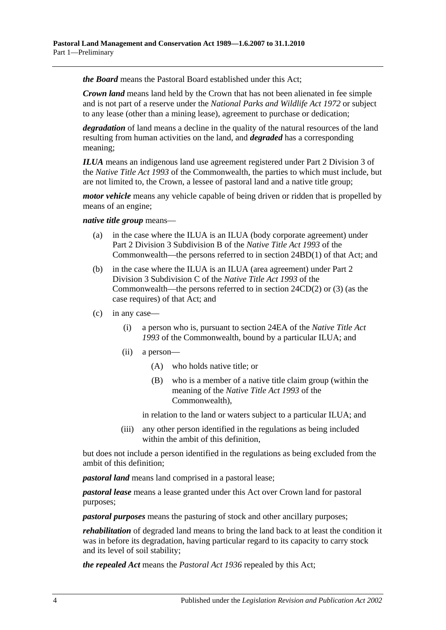*the Board* means the Pastoral Board established under this Act;

*Crown land* means land held by the Crown that has not been alienated in fee simple and is not part of a reserve under the *[National Parks and Wildlife Act](http://www.legislation.sa.gov.au/index.aspx?action=legref&type=act&legtitle=National%20Parks%20and%20Wildlife%20Act%201972) 1972* or subject to any lease (other than a mining lease), agreement to purchase or dedication;

*degradation* of land means a decline in the quality of the natural resources of the land resulting from human activities on the land, and *degraded* has a corresponding meaning;

*ILUA* means an indigenous land use agreement registered under Part 2 Division 3 of the *Native Title Act 1993* of the Commonwealth, the parties to which must include, but are not limited to, the Crown, a lessee of pastoral land and a native title group;

*motor vehicle* means any vehicle capable of being driven or ridden that is propelled by means of an engine;

#### *native title group* means—

- (a) in the case where the ILUA is an ILUA (body corporate agreement) under Part 2 Division 3 Subdivision B of the *Native Title Act 1993* of the Commonwealth—the persons referred to in section 24BD(1) of that Act; and
- (b) in the case where the ILUA is an ILUA (area agreement) under Part 2 Division 3 Subdivision C of the *Native Title Act 1993* of the Commonwealth—the persons referred to in section 24CD(2) or (3) (as the case requires) of that Act; and
- <span id="page-3-0"></span>(c) in any case—
	- (i) a person who is, pursuant to section 24EA of the *Native Title Act 1993* of the Commonwealth, bound by a particular ILUA; and
	- (ii) a person—
		- (A) who holds native title; or
		- (B) who is a member of a native title claim group (within the meaning of the *Native Title Act 1993* of the Commonwealth),

in relation to the land or waters subject to a particular ILUA; and

(iii) any other person identified in the regulations as being included within the ambit of this definition,

but does not include a person identified in the regulations as being excluded from the ambit of this definition;

*pastoral land* means land comprised in a pastoral lease;

*pastoral lease* means a lease granted under this Act over Crown land for pastoral purposes;

*pastoral purposes* means the pasturing of stock and other ancillary purposes;

*rehabilitation* of degraded land means to bring the land back to at least the condition it was in before its degradation, having particular regard to its capacity to carry stock and its level of soil stability;

*the repealed Act* means the *[Pastoral Act](http://www.legislation.sa.gov.au/index.aspx?action=legref&type=act&legtitle=Pastoral%20Act%201936) 1936* repealed by this Act;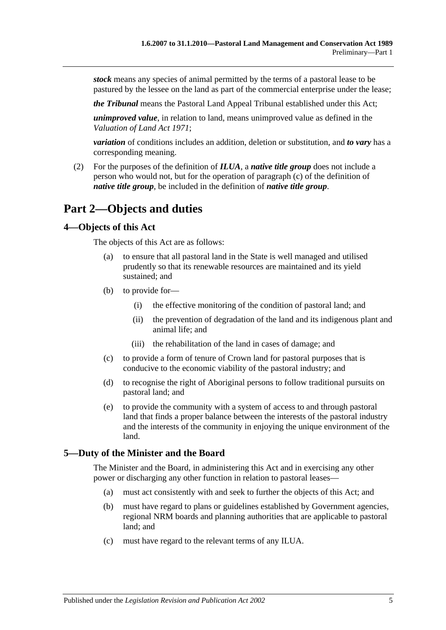*stock* means any species of animal permitted by the terms of a pastoral lease to be pastured by the lessee on the land as part of the commercial enterprise under the lease;

*the Tribunal* means the Pastoral Land Appeal Tribunal established under this Act;

*unimproved value*, in relation to land, means unimproved value as defined in the *[Valuation of Land Act](http://www.legislation.sa.gov.au/index.aspx?action=legref&type=act&legtitle=Valuation%20of%20Land%20Act%201971) 1971*;

*variation* of conditions includes an addition, deletion or substitution, and *to vary* has a corresponding meaning.

(2) For the purposes of the definition of *ILUA*, a *native title group* does not include a person who would not, but for the operation of [paragraph](#page-3-0) (c) of the definition of *native title group*, be included in the definition of *native title group*.

# <span id="page-4-0"></span>**Part 2—Objects and duties**

#### <span id="page-4-1"></span>**4—Objects of this Act**

The objects of this Act are as follows:

- (a) to ensure that all pastoral land in the State is well managed and utilised prudently so that its renewable resources are maintained and its yield sustained; and
- (b) to provide for—
	- (i) the effective monitoring of the condition of pastoral land; and
	- (ii) the prevention of degradation of the land and its indigenous plant and animal life; and
	- (iii) the rehabilitation of the land in cases of damage; and
- (c) to provide a form of tenure of Crown land for pastoral purposes that is conducive to the economic viability of the pastoral industry; and
- (d) to recognise the right of Aboriginal persons to follow traditional pursuits on pastoral land; and
- (e) to provide the community with a system of access to and through pastoral land that finds a proper balance between the interests of the pastoral industry and the interests of the community in enjoying the unique environment of the land.

## <span id="page-4-2"></span>**5—Duty of the Minister and the Board**

The Minister and the Board, in administering this Act and in exercising any other power or discharging any other function in relation to pastoral leases—

- (a) must act consistently with and seek to further the objects of this Act; and
- (b) must have regard to plans or guidelines established by Government agencies, regional NRM boards and planning authorities that are applicable to pastoral land; and
- (c) must have regard to the relevant terms of any ILUA.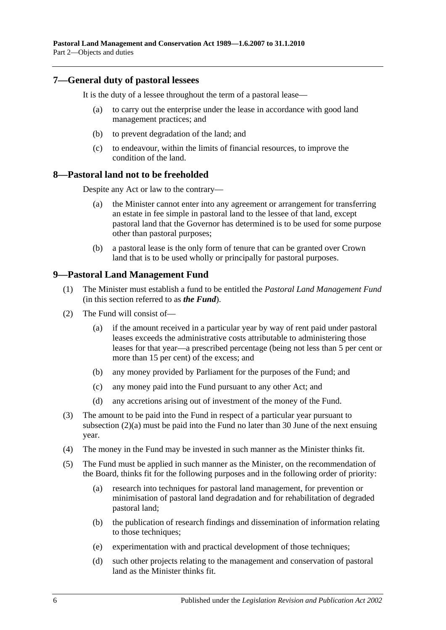## <span id="page-5-0"></span>**7—General duty of pastoral lessees**

It is the duty of a lessee throughout the term of a pastoral lease—

- (a) to carry out the enterprise under the lease in accordance with good land management practices; and
- (b) to prevent degradation of the land; and
- (c) to endeavour, within the limits of financial resources, to improve the condition of the land.

#### <span id="page-5-1"></span>**8—Pastoral land not to be freeholded**

Despite any Act or law to the contrary—

- (a) the Minister cannot enter into any agreement or arrangement for transferring an estate in fee simple in pastoral land to the lessee of that land, except pastoral land that the Governor has determined is to be used for some purpose other than pastoral purposes;
- (b) a pastoral lease is the only form of tenure that can be granted over Crown land that is to be used wholly or principally for pastoral purposes.

## <span id="page-5-2"></span>**9—Pastoral Land Management Fund**

- (1) The Minister must establish a fund to be entitled the *Pastoral Land Management Fund* (in this section referred to as *the Fund*).
- (2) The Fund will consist of—
	- (a) if the amount received in a particular year by way of rent paid under pastoral leases exceeds the administrative costs attributable to administering those leases for that year—a prescribed percentage (being not less than 5 per cent or more than 15 per cent) of the excess; and
	- (b) any money provided by Parliament for the purposes of the Fund; and
	- (c) any money paid into the Fund pursuant to any other Act; and
	- (d) any accretions arising out of investment of the money of the Fund.
- (3) The amount to be paid into the Fund in respect of a particular year pursuant to subsection (2)(a) must be paid into the Fund no later than 30 June of the next ensuing year.
- (4) The money in the Fund may be invested in such manner as the Minister thinks fit.
- (5) The Fund must be applied in such manner as the Minister, on the recommendation of the Board, thinks fit for the following purposes and in the following order of priority:
	- (a) research into techniques for pastoral land management, for prevention or minimisation of pastoral land degradation and for rehabilitation of degraded pastoral land;
	- (b) the publication of research findings and dissemination of information relating to those techniques;
	- (e) experimentation with and practical development of those techniques;
	- (d) such other projects relating to the management and conservation of pastoral land as the Minister thinks fit.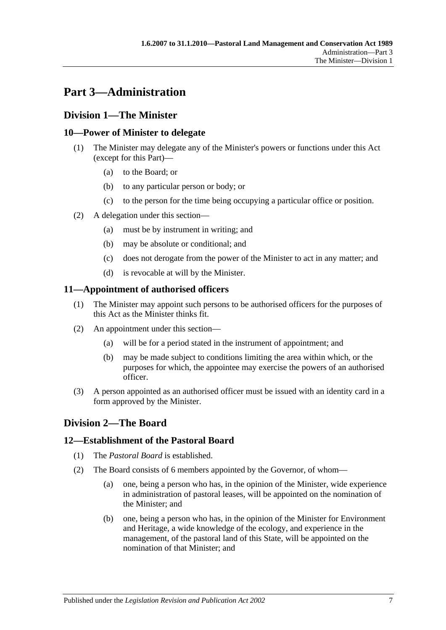# <span id="page-6-0"></span>**Part 3—Administration**

## <span id="page-6-1"></span>**Division 1—The Minister**

## <span id="page-6-2"></span>**10—Power of Minister to delegate**

- (1) The Minister may delegate any of the Minister's powers or functions under this Act (except for this Part)—
	- (a) to the Board; or
	- (b) to any particular person or body; or
	- (c) to the person for the time being occupying a particular office or position.
- (2) A delegation under this section—
	- (a) must be by instrument in writing; and
	- (b) may be absolute or conditional; and
	- (c) does not derogate from the power of the Minister to act in any matter; and
	- (d) is revocable at will by the Minister.

## <span id="page-6-3"></span>**11—Appointment of authorised officers**

- (1) The Minister may appoint such persons to be authorised officers for the purposes of this Act as the Minister thinks fit.
- (2) An appointment under this section—
	- (a) will be for a period stated in the instrument of appointment; and
	- (b) may be made subject to conditions limiting the area within which, or the purposes for which, the appointee may exercise the powers of an authorised officer.
- (3) A person appointed as an authorised officer must be issued with an identity card in a form approved by the Minister.

## <span id="page-6-4"></span>**Division 2—The Board**

## <span id="page-6-5"></span>**12—Establishment of the Pastoral Board**

- (1) The *Pastoral Board* is established.
- (2) The Board consists of 6 members appointed by the Governor, of whom—
	- (a) one, being a person who has, in the opinion of the Minister, wide experience in administration of pastoral leases, will be appointed on the nomination of the Minister; and
	- (b) one, being a person who has, in the opinion of the Minister for Environment and Heritage, a wide knowledge of the ecology, and experience in the management, of the pastoral land of this State, will be appointed on the nomination of that Minister; and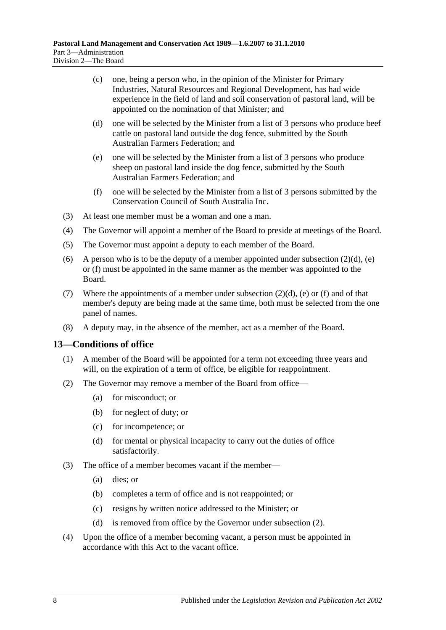- (c) one, being a person who, in the opinion of the Minister for Primary Industries, Natural Resources and Regional Development, has had wide experience in the field of land and soil conservation of pastoral land, will be appointed on the nomination of that Minister; and
- <span id="page-7-1"></span>(d) one will be selected by the Minister from a list of 3 persons who produce beef cattle on pastoral land outside the dog fence, submitted by the South Australian Farmers Federation; and
- <span id="page-7-2"></span>(e) one will be selected by the Minister from a list of 3 persons who produce sheep on pastoral land inside the dog fence, submitted by the South Australian Farmers Federation; and
- (f) one will be selected by the Minister from a list of 3 persons submitted by the Conservation Council of South Australia Inc.
- <span id="page-7-3"></span>(3) At least one member must be a woman and one a man.
- (4) The Governor will appoint a member of the Board to preside at meetings of the Board.
- (5) The Governor must appoint a deputy to each member of the Board.
- (6) A person who is to be the deputy of a member appointed under [subsection](#page-7-1)  $(2)(d)$ , [\(e\)](#page-7-2) or [\(f\)](#page-7-3) must be appointed in the same manner as the member was appointed to the Board.
- (7) Where the appointments of a member under [subsection](#page-7-1)  $(2)(d)$ , [\(e\)](#page-7-2) or [\(f\)](#page-7-3) and of that member's deputy are being made at the same time, both must be selected from the one panel of names.
- (8) A deputy may, in the absence of the member, act as a member of the Board.

#### <span id="page-7-0"></span>**13—Conditions of office**

- (1) A member of the Board will be appointed for a term not exceeding three years and will, on the expiration of a term of office, be eligible for reappointment.
- <span id="page-7-4"></span>(2) The Governor may remove a member of the Board from office—
	- (a) for misconduct; or
	- (b) for neglect of duty; or
	- (c) for incompetence; or
	- (d) for mental or physical incapacity to carry out the duties of office satisfactorily.
- (3) The office of a member becomes vacant if the member—
	- (a) dies; or
	- (b) completes a term of office and is not reappointed; or
	- (c) resigns by written notice addressed to the Minister; or
	- (d) is removed from office by the Governor under [subsection](#page-7-4) (2).
- (4) Upon the office of a member becoming vacant, a person must be appointed in accordance with this Act to the vacant office.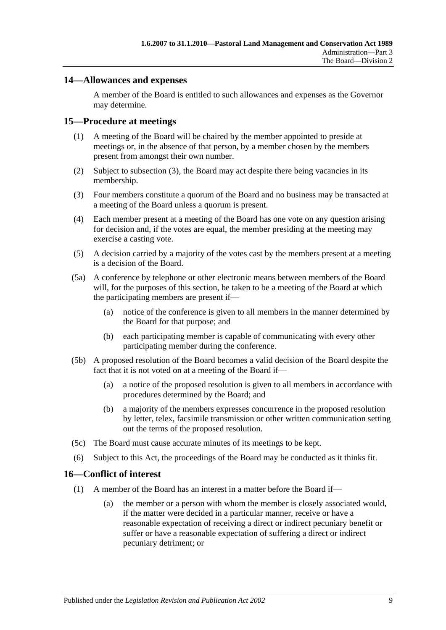## <span id="page-8-0"></span>**14—Allowances and expenses**

A member of the Board is entitled to such allowances and expenses as the Governor may determine.

#### <span id="page-8-1"></span>**15—Procedure at meetings**

- (1) A meeting of the Board will be chaired by the member appointed to preside at meetings or, in the absence of that person, by a member chosen by the members present from amongst their own number.
- (2) Subject to [subsection](#page-8-3) (3), the Board may act despite there being vacancies in its membership.
- <span id="page-8-3"></span>(3) Four members constitute a quorum of the Board and no business may be transacted at a meeting of the Board unless a quorum is present.
- (4) Each member present at a meeting of the Board has one vote on any question arising for decision and, if the votes are equal, the member presiding at the meeting may exercise a casting vote.
- (5) A decision carried by a majority of the votes cast by the members present at a meeting is a decision of the Board.
- (5a) A conference by telephone or other electronic means between members of the Board will, for the purposes of this section, be taken to be a meeting of the Board at which the participating members are present if—
	- (a) notice of the conference is given to all members in the manner determined by the Board for that purpose; and
	- (b) each participating member is capable of communicating with every other participating member during the conference.
- (5b) A proposed resolution of the Board becomes a valid decision of the Board despite the fact that it is not voted on at a meeting of the Board if—
	- (a) a notice of the proposed resolution is given to all members in accordance with procedures determined by the Board; and
	- (b) a majority of the members expresses concurrence in the proposed resolution by letter, telex, facsimile transmission or other written communication setting out the terms of the proposed resolution.
- (5c) The Board must cause accurate minutes of its meetings to be kept.
- (6) Subject to this Act, the proceedings of the Board may be conducted as it thinks fit.

#### <span id="page-8-4"></span><span id="page-8-2"></span>**16—Conflict of interest**

- (1) A member of the Board has an interest in a matter before the Board if—
	- (a) the member or a person with whom the member is closely associated would, if the matter were decided in a particular manner, receive or have a reasonable expectation of receiving a direct or indirect pecuniary benefit or suffer or have a reasonable expectation of suffering a direct or indirect pecuniary detriment; or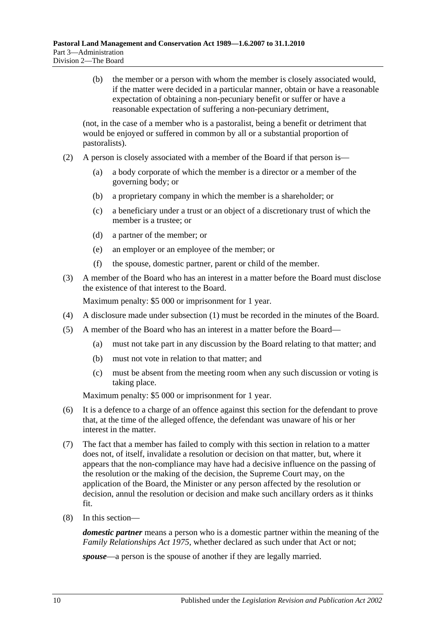(b) the member or a person with whom the member is closely associated would, if the matter were decided in a particular manner, obtain or have a reasonable expectation of obtaining a non-pecuniary benefit or suffer or have a reasonable expectation of suffering a non-pecuniary detriment,

(not, in the case of a member who is a pastoralist, being a benefit or detriment that would be enjoyed or suffered in common by all or a substantial proportion of pastoralists).

- (2) A person is closely associated with a member of the Board if that person is—
	- (a) a body corporate of which the member is a director or a member of the governing body; or
	- (b) a proprietary company in which the member is a shareholder; or
	- (c) a beneficiary under a trust or an object of a discretionary trust of which the member is a trustee; or
	- (d) a partner of the member; or
	- (e) an employer or an employee of the member; or
	- (f) the spouse, domestic partner, parent or child of the member.
- (3) A member of the Board who has an interest in a matter before the Board must disclose the existence of that interest to the Board.

Maximum penalty: \$5 000 or imprisonment for 1 year.

- (4) A disclosure made under [subsection](#page-8-4) (1) must be recorded in the minutes of the Board.
- (5) A member of the Board who has an interest in a matter before the Board—
	- (a) must not take part in any discussion by the Board relating to that matter; and
	- (b) must not vote in relation to that matter; and
	- (c) must be absent from the meeting room when any such discussion or voting is taking place.

Maximum penalty: \$5 000 or imprisonment for 1 year.

- (6) It is a defence to a charge of an offence against this section for the defendant to prove that, at the time of the alleged offence, the defendant was unaware of his or her interest in the matter.
- (7) The fact that a member has failed to comply with this section in relation to a matter does not, of itself, invalidate a resolution or decision on that matter, but, where it appears that the non-compliance may have had a decisive influence on the passing of the resolution or the making of the decision, the Supreme Court may, on the application of the Board, the Minister or any person affected by the resolution or decision, annul the resolution or decision and make such ancillary orders as it thinks fit.
- (8) In this section—

*domestic partner* means a person who is a domestic partner within the meaning of the *[Family Relationships Act](http://www.legislation.sa.gov.au/index.aspx?action=legref&type=act&legtitle=Family%20Relationships%20Act%201975) 1975*, whether declared as such under that Act or not;

*spouse*—a person is the spouse of another if they are legally married.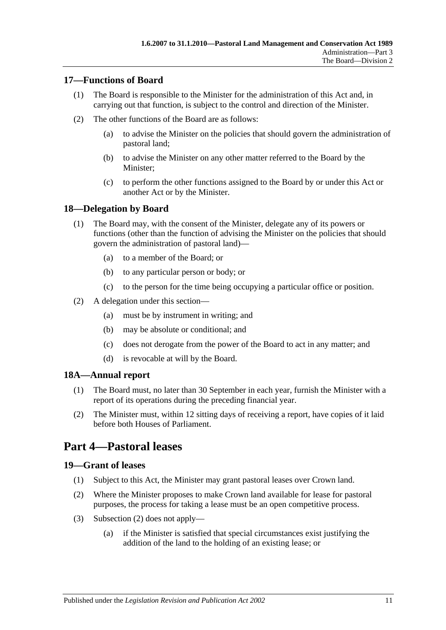## <span id="page-10-0"></span>**17—Functions of Board**

- (1) The Board is responsible to the Minister for the administration of this Act and, in carrying out that function, is subject to the control and direction of the Minister.
- (2) The other functions of the Board are as follows:
	- (a) to advise the Minister on the policies that should govern the administration of pastoral land;
	- (b) to advise the Minister on any other matter referred to the Board by the Minister;
	- (c) to perform the other functions assigned to the Board by or under this Act or another Act or by the Minister.

## <span id="page-10-1"></span>**18—Delegation by Board**

- (1) The Board may, with the consent of the Minister, delegate any of its powers or functions (other than the function of advising the Minister on the policies that should govern the administration of pastoral land)—
	- (a) to a member of the Board; or
	- (b) to any particular person or body; or
	- (c) to the person for the time being occupying a particular office or position.
- (2) A delegation under this section—
	- (a) must be by instrument in writing; and
	- (b) may be absolute or conditional; and
	- (c) does not derogate from the power of the Board to act in any matter; and
	- (d) is revocable at will by the Board.

## <span id="page-10-2"></span>**18A—Annual report**

- (1) The Board must, no later than 30 September in each year, furnish the Minister with a report of its operations during the preceding financial year.
- (2) The Minister must, within 12 sitting days of receiving a report, have copies of it laid before both Houses of Parliament.

# <span id="page-10-3"></span>**Part 4—Pastoral leases**

## <span id="page-10-4"></span>**19—Grant of leases**

- (1) Subject to this Act, the Minister may grant pastoral leases over Crown land.
- <span id="page-10-5"></span>(2) Where the Minister proposes to make Crown land available for lease for pastoral purposes, the process for taking a lease must be an open competitive process.
- (3) [Subsection](#page-10-5) (2) does not apply—
	- (a) if the Minister is satisfied that special circumstances exist justifying the addition of the land to the holding of an existing lease; or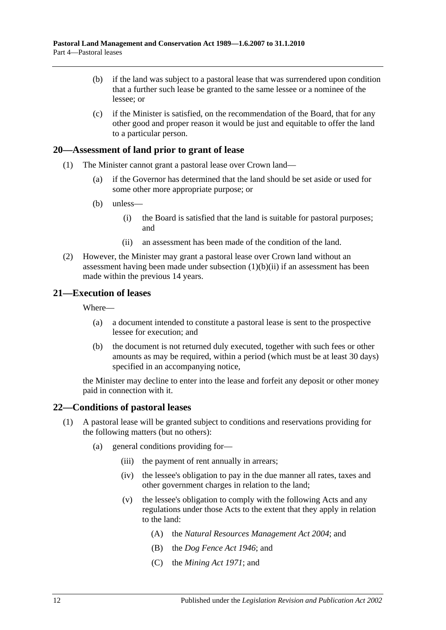- (b) if the land was subject to a pastoral lease that was surrendered upon condition that a further such lease be granted to the same lessee or a nominee of the lessee; or
- (c) if the Minister is satisfied, on the recommendation of the Board, that for any other good and proper reason it would be just and equitable to offer the land to a particular person.

## <span id="page-11-0"></span>**20—Assessment of land prior to grant of lease**

- (1) The Minister cannot grant a pastoral lease over Crown land—
	- (a) if the Governor has determined that the land should be set aside or used for some other more appropriate purpose; or
	- (b) unless—
		- (i) the Board is satisfied that the land is suitable for pastoral purposes; and
		- (ii) an assessment has been made of the condition of the land.
- <span id="page-11-3"></span>(2) However, the Minister may grant a pastoral lease over Crown land without an assessment having been made under [subsection](#page-11-3)  $(1)(b)(ii)$  if an assessment has been made within the previous 14 years.

#### <span id="page-11-1"></span>**21—Execution of leases**

Where—

- (a) a document intended to constitute a pastoral lease is sent to the prospective lessee for execution; and
- (b) the document is not returned duly executed, together with such fees or other amounts as may be required, within a period (which must be at least 30 days) specified in an accompanying notice,

the Minister may decline to enter into the lease and forfeit any deposit or other money paid in connection with it.

#### <span id="page-11-2"></span>**22—Conditions of pastoral leases**

- <span id="page-11-4"></span>(1) A pastoral lease will be granted subject to conditions and reservations providing for the following matters (but no others):
	- (a) general conditions providing for—
		- (iii) the payment of rent annually in arrears;
		- (iv) the lessee's obligation to pay in the due manner all rates, taxes and other government charges in relation to the land;
		- (v) the lessee's obligation to comply with the following Acts and any regulations under those Acts to the extent that they apply in relation to the land:
			- (A) the *[Natural Resources Management Act](http://www.legislation.sa.gov.au/index.aspx?action=legref&type=act&legtitle=Natural%20Resources%20Management%20Act%202004) 2004*; and
			- (B) the *[Dog Fence Act](http://www.legislation.sa.gov.au/index.aspx?action=legref&type=act&legtitle=Dog%20Fence%20Act%201946) 1946*; and
			- (C) the *[Mining Act](http://www.legislation.sa.gov.au/index.aspx?action=legref&type=act&legtitle=Mining%20Act%201971) 1971*; and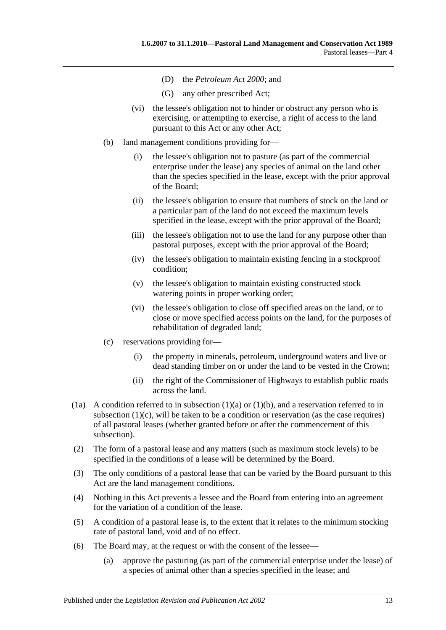- (D) the *[Petroleum Act](http://www.legislation.sa.gov.au/index.aspx?action=legref&type=act&legtitle=Petroleum%20Act%202000) 2000*; and
- (G) any other prescribed Act;
- (vi) the lessee's obligation not to hinder or obstruct any person who is exercising, or attempting to exercise, a right of access to the land pursuant to this Act or any other Act;
- <span id="page-12-0"></span>(b) land management conditions providing for—
	- (i) the lessee's obligation not to pasture (as part of the commercial enterprise under the lease) any species of animal on the land other than the species specified in the lease, except with the prior approval of the Board;
	- (ii) the lessee's obligation to ensure that numbers of stock on the land or a particular part of the land do not exceed the maximum levels specified in the lease, except with the prior approval of the Board;
	- (iii) the lessee's obligation not to use the land for any purpose other than pastoral purposes, except with the prior approval of the Board;
	- (iv) the lessee's obligation to maintain existing fencing in a stockproof condition;
	- (v) the lessee's obligation to maintain existing constructed stock watering points in proper working order;
	- (vi) the lessee's obligation to close off specified areas on the land, or to close or move specified access points on the land, for the purposes of rehabilitation of degraded land;
- <span id="page-12-1"></span>(c) reservations providing for—
	- (i) the property in minerals, petroleum, underground waters and live or dead standing timber on or under the land to be vested in the Crown;
	- (ii) the right of the Commissioner of Highways to establish public roads across the land.
- (1a) A condition referred to in [subsection](#page-11-4) (1)(a) or [\(1\)\(b\),](#page-12-0) and a reservation referred to in [subsection](#page-12-1)  $(1)(c)$ , will be taken to be a condition or reservation (as the case requires) of all pastoral leases (whether granted before or after the commencement of this subsection).
- (2) The form of a pastoral lease and any matters (such as maximum stock levels) to be specified in the conditions of a lease will be determined by the Board.
- (3) The only conditions of a pastoral lease that can be varied by the Board pursuant to this Act are the land management conditions.
- (4) Nothing in this Act prevents a lessee and the Board from entering into an agreement for the variation of a condition of the lease.
- (5) A condition of a pastoral lease is, to the extent that it relates to the minimum stocking rate of pastoral land, void and of no effect.
- <span id="page-12-2"></span>(6) The Board may, at the request or with the consent of the lessee—
	- (a) approve the pasturing (as part of the commercial enterprise under the lease) of a species of animal other than a species specified in the lease; and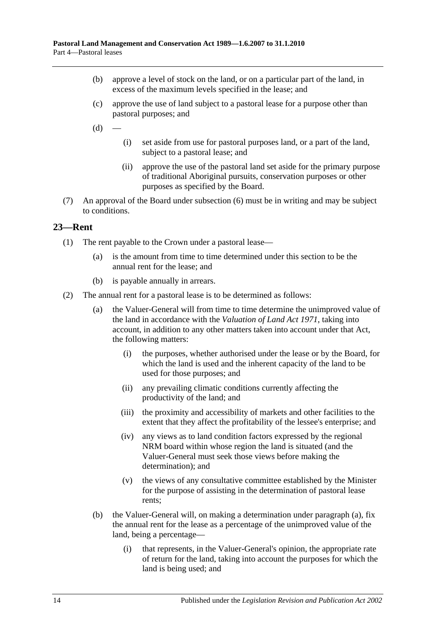- (b) approve a level of stock on the land, or on a particular part of the land, in excess of the maximum levels specified in the lease; and
- (c) approve the use of land subject to a pastoral lease for a purpose other than pastoral purposes; and
- $(d)$
- (i) set aside from use for pastoral purposes land, or a part of the land, subject to a pastoral lease; and
- (ii) approve the use of the pastoral land set aside for the primary purpose of traditional Aboriginal pursuits, conservation purposes or other purposes as specified by the Board.
- (7) An approval of the Board under [subsection](#page-12-2) (6) must be in writing and may be subject to conditions.

#### <span id="page-13-0"></span>**23—Rent**

- (1) The rent payable to the Crown under a pastoral lease—
	- (a) is the amount from time to time determined under this section to be the annual rent for the lease; and
	- (b) is payable annually in arrears.
- <span id="page-13-1"></span>(2) The annual rent for a pastoral lease is to be determined as follows:
	- (a) the Valuer-General will from time to time determine the unimproved value of the land in accordance with the *[Valuation of Land Act](http://www.legislation.sa.gov.au/index.aspx?action=legref&type=act&legtitle=Valuation%20of%20Land%20Act%201971) 1971*, taking into account, in addition to any other matters taken into account under that Act, the following matters:
		- (i) the purposes, whether authorised under the lease or by the Board, for which the land is used and the inherent capacity of the land to be used for those purposes; and
		- (ii) any prevailing climatic conditions currently affecting the productivity of the land; and
		- (iii) the proximity and accessibility of markets and other facilities to the extent that they affect the profitability of the lessee's enterprise; and
		- (iv) any views as to land condition factors expressed by the regional NRM board within whose region the land is situated (and the Valuer-General must seek those views before making the determination); and
		- (v) the views of any consultative committee established by the Minister for the purpose of assisting in the determination of pastoral lease rents;
	- (b) the Valuer-General will, on making a determination under [paragraph](#page-13-1) (a), fix the annual rent for the lease as a percentage of the unimproved value of the land, being a percentage—
		- (i) that represents, in the Valuer-General's opinion, the appropriate rate of return for the land, taking into account the purposes for which the land is being used; and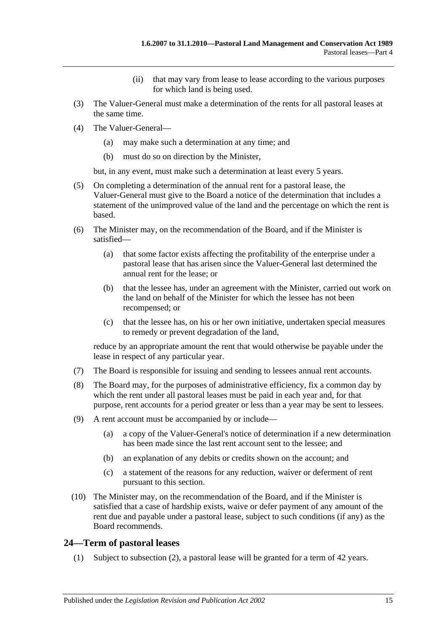- (ii) that may vary from lease to lease according to the various purposes for which land is being used.
- (3) The Valuer-General must make a determination of the rents for all pastoral leases at the same time.
- (4) The Valuer-General—
	- (a) may make such a determination at any time; and
	- (b) must do so on direction by the Minister,

but, in any event, must make such a determination at least every 5 years.

- (5) On completing a determination of the annual rent for a pastoral lease, the Valuer-General must give to the Board a notice of the determination that includes a statement of the unimproved value of the land and the percentage on which the rent is based.
- (6) The Minister may, on the recommendation of the Board, and if the Minister is satisfied—
	- (a) that some factor exists affecting the profitability of the enterprise under a pastoral lease that has arisen since the Valuer-General last determined the annual rent for the lease; or
	- (b) that the lessee has, under an agreement with the Minister, carried out work on the land on behalf of the Minister for which the lessee has not been recompensed; or
	- (c) that the lessee has, on his or her own initiative, undertaken special measures to remedy or prevent degradation of the land,

reduce by an appropriate amount the rent that would otherwise be payable under the lease in respect of any particular year.

- (7) The Board is responsible for issuing and sending to lessees annual rent accounts.
- (8) The Board may, for the purposes of administrative efficiency, fix a common day by which the rent under all pastoral leases must be paid in each year and, for that purpose, rent accounts for a period greater or less than a year may be sent to lessees.
- (9) A rent account must be accompanied by or include—
	- (a) a copy of the Valuer-General's notice of determination if a new determination has been made since the last rent account sent to the lessee; and
	- (b) an explanation of any debits or credits shown on the account; and
	- (c) a statement of the reasons for any reduction, waiver or deferment of rent pursuant to this section.
- (10) The Minister may, on the recommendation of the Board, and if the Minister is satisfied that a case of hardship exists, waive or defer payment of any amount of the rent due and payable under a pastoral lease, subject to such conditions (if any) as the Board recommends.

## <span id="page-14-0"></span>**24—Term of pastoral leases**

(1) Subject to [subsection](#page-15-2) (2), a pastoral lease will be granted for a term of 42 years.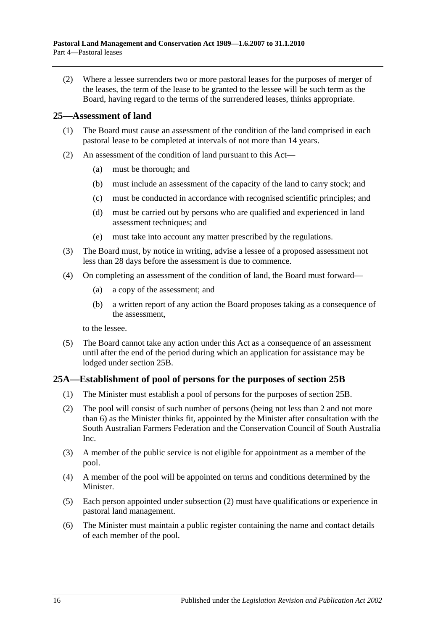<span id="page-15-2"></span>(2) Where a lessee surrenders two or more pastoral leases for the purposes of merger of the leases, the term of the lease to be granted to the lessee will be such term as the Board, having regard to the terms of the surrendered leases, thinks appropriate.

#### <span id="page-15-0"></span>**25—Assessment of land**

- (1) The Board must cause an assessment of the condition of the land comprised in each pastoral lease to be completed at intervals of not more than 14 years.
- (2) An assessment of the condition of land pursuant to this Act—
	- (a) must be thorough; and
	- (b) must include an assessment of the capacity of the land to carry stock; and
	- (c) must be conducted in accordance with recognised scientific principles; and
	- (d) must be carried out by persons who are qualified and experienced in land assessment techniques; and
	- (e) must take into account any matter prescribed by the regulations.
- (3) The Board must, by notice in writing, advise a lessee of a proposed assessment not less than 28 days before the assessment is due to commence.
- <span id="page-15-4"></span>(4) On completing an assessment of the condition of land, the Board must forward—
	- (a) a copy of the assessment; and
	- (b) a written report of any action the Board proposes taking as a consequence of the assessment,

to the lessee.

(5) The Board cannot take any action under this Act as a consequence of an assessment until after the end of the period during which an application for assistance may be lodged under [section](#page-16-0) 25B.

## <span id="page-15-1"></span>**25A—Establishment of pool of persons for the purposes of [section](#page-16-0) 25B**

- (1) The Minister must establish a pool of persons for the purposes of [section](#page-16-0) 25B.
- <span id="page-15-3"></span>(2) The pool will consist of such number of persons (being not less than 2 and not more than 6) as the Minister thinks fit, appointed by the Minister after consultation with the South Australian Farmers Federation and the Conservation Council of South Australia Inc.
- (3) A member of the public service is not eligible for appointment as a member of the pool.
- (4) A member of the pool will be appointed on terms and conditions determined by the Minister.
- (5) Each person appointed under [subsection](#page-15-3) (2) must have qualifications or experience in pastoral land management.
- (6) The Minister must maintain a public register containing the name and contact details of each member of the pool.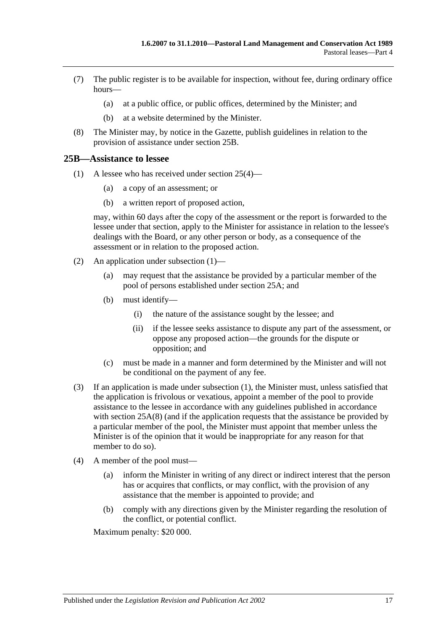- (7) The public register is to be available for inspection, without fee, during ordinary office hours—
	- (a) at a public office, or public offices, determined by the Minister; and
	- (b) at a website determined by the Minister.
- <span id="page-16-2"></span>(8) The Minister may, by notice in the Gazette, publish guidelines in relation to the provision of assistance under [section](#page-16-0) 25B.

#### <span id="page-16-1"></span><span id="page-16-0"></span>**25B—Assistance to lessee**

- (1) A lessee who has received under [section](#page-15-4) 25(4)—
	- (a) a copy of an assessment; or
	- (b) a written report of proposed action,

may, within 60 days after the copy of the assessment or the report is forwarded to the lessee under that section, apply to the Minister for assistance in relation to the lessee's dealings with the Board, or any other person or body, as a consequence of the assessment or in relation to the proposed action.

- (2) An application under [subsection](#page-16-1) (1)—
	- (a) may request that the assistance be provided by a particular member of the pool of persons established under [section](#page-15-1) 25A; and
	- (b) must identify—
		- (i) the nature of the assistance sought by the lessee; and
		- (ii) if the lessee seeks assistance to dispute any part of the assessment, or oppose any proposed action—the grounds for the dispute or opposition; and
	- (c) must be made in a manner and form determined by the Minister and will not be conditional on the payment of any fee.
- (3) If an application is made under [subsection](#page-16-1) (1), the Minister must, unless satisfied that the application is frivolous or vexatious, appoint a member of the pool to provide assistance to the lessee in accordance with any guidelines published in accordance with [section](#page-16-2) 25A(8) (and if the application requests that the assistance be provided by a particular member of the pool, the Minister must appoint that member unless the Minister is of the opinion that it would be inappropriate for any reason for that member to do so).
- <span id="page-16-3"></span>(4) A member of the pool must—
	- (a) inform the Minister in writing of any direct or indirect interest that the person has or acquires that conflicts, or may conflict, with the provision of any assistance that the member is appointed to provide; and
	- (b) comply with any directions given by the Minister regarding the resolution of the conflict, or potential conflict.

Maximum penalty: \$20 000.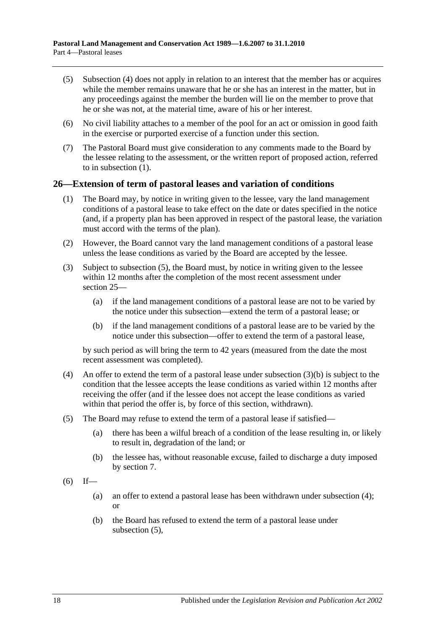- (5) [Subsection](#page-16-3) (4) does not apply in relation to an interest that the member has or acquires while the member remains unaware that he or she has an interest in the matter, but in any proceedings against the member the burden will lie on the member to prove that he or she was not, at the material time, aware of his or her interest.
- (6) No civil liability attaches to a member of the pool for an act or omission in good faith in the exercise or purported exercise of a function under this section.
- (7) The Pastoral Board must give consideration to any comments made to the Board by the lessee relating to the assessment, or the written report of proposed action, referred to in [subsection](#page-16-1) (1).

#### <span id="page-17-0"></span>**26—Extension of term of pastoral leases and variation of conditions**

- (1) The Board may, by notice in writing given to the lessee, vary the land management conditions of a pastoral lease to take effect on the date or dates specified in the notice (and, if a property plan has been approved in respect of the pastoral lease, the variation must accord with the terms of the plan).
- (2) However, the Board cannot vary the land management conditions of a pastoral lease unless the lease conditions as varied by the Board are accepted by the lessee.
- <span id="page-17-4"></span>(3) Subject to [subsection](#page-17-1) (5), the Board must, by notice in writing given to the lessee within 12 months after the completion of the most recent assessment under [section](#page-15-0) 25—
	- (a) if the land management conditions of a pastoral lease are not to be varied by the notice under this subsection—extend the term of a pastoral lease; or
	- (b) if the land management conditions of a pastoral lease are to be varied by the notice under this subsection—offer to extend the term of a pastoral lease,

<span id="page-17-2"></span>by such period as will bring the term to 42 years (measured from the date the most recent assessment was completed).

- <span id="page-17-3"></span>(4) An offer to extend the term of a pastoral lease under [subsection](#page-17-2) (3)(b) is subject to the condition that the lessee accepts the lease conditions as varied within 12 months after receiving the offer (and if the lessee does not accept the lease conditions as varied within that period the offer is, by force of this section, withdrawn).
- <span id="page-17-1"></span>(5) The Board may refuse to extend the term of a pastoral lease if satisfied—
	- (a) there has been a wilful breach of a condition of the lease resulting in, or likely to result in, degradation of the land; or
	- (b) the lessee has, without reasonable excuse, failed to discharge a duty imposed by [section](#page-5-0) 7.
- $(6)$  If—
	- (a) an offer to extend a pastoral lease has been withdrawn under [subsection](#page-17-3) (4); or
	- (b) the Board has refused to extend the term of a pastoral lease under [subsection](#page-17-1) (5),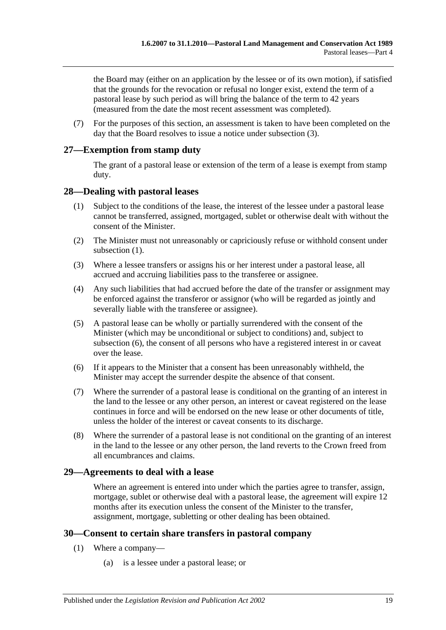the Board may (either on an application by the lessee or of its own motion), if satisfied that the grounds for the revocation or refusal no longer exist, extend the term of a pastoral lease by such period as will bring the balance of the term to 42 years (measured from the date the most recent assessment was completed).

(7) For the purposes of this section, an assessment is taken to have been completed on the day that the Board resolves to issue a notice under [subsection](#page-17-4) (3).

## <span id="page-18-0"></span>**27—Exemption from stamp duty**

The grant of a pastoral lease or extension of the term of a lease is exempt from stamp duty.

#### <span id="page-18-4"></span><span id="page-18-1"></span>**28—Dealing with pastoral leases**

- (1) Subject to the conditions of the lease, the interest of the lessee under a pastoral lease cannot be transferred, assigned, mortgaged, sublet or otherwise dealt with without the consent of the Minister.
- (2) The Minister must not unreasonably or capriciously refuse or withhold consent under [subsection](#page-18-4) (1).
- (3) Where a lessee transfers or assigns his or her interest under a pastoral lease, all accrued and accruing liabilities pass to the transferee or assignee.
- (4) Any such liabilities that had accrued before the date of the transfer or assignment may be enforced against the transferor or assignor (who will be regarded as jointly and severally liable with the transferee or assignee).
- (5) A pastoral lease can be wholly or partially surrendered with the consent of the Minister (which may be unconditional or subject to conditions) and, subject to [subsection](#page-18-5) (6), the consent of all persons who have a registered interest in or caveat over the lease.
- <span id="page-18-5"></span>(6) If it appears to the Minister that a consent has been unreasonably withheld, the Minister may accept the surrender despite the absence of that consent.
- (7) Where the surrender of a pastoral lease is conditional on the granting of an interest in the land to the lessee or any other person, an interest or caveat registered on the lease continues in force and will be endorsed on the new lease or other documents of title, unless the holder of the interest or caveat consents to its discharge.
- (8) Where the surrender of a pastoral lease is not conditional on the granting of an interest in the land to the lessee or any other person, the land reverts to the Crown freed from all encumbrances and claims.

#### <span id="page-18-2"></span>**29—Agreements to deal with a lease**

Where an agreement is entered into under which the parties agree to transfer, assign, mortgage, sublet or otherwise deal with a pastoral lease, the agreement will expire 12 months after its execution unless the consent of the Minister to the transfer, assignment, mortgage, subletting or other dealing has been obtained.

## <span id="page-18-6"></span><span id="page-18-3"></span>**30—Consent to certain share transfers in pastoral company**

- (1) Where a company—
	- (a) is a lessee under a pastoral lease; or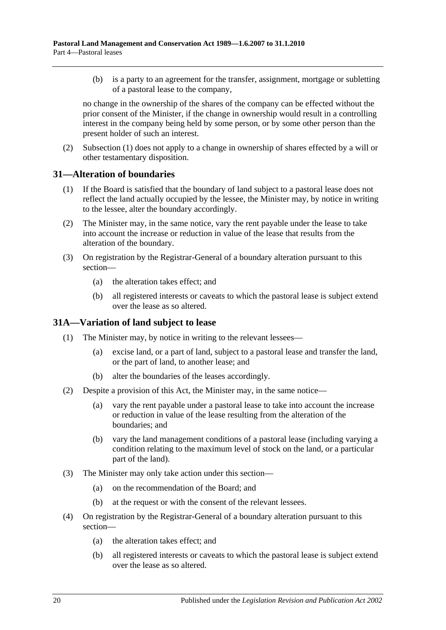(b) is a party to an agreement for the transfer, assignment, mortgage or subletting of a pastoral lease to the company,

no change in the ownership of the shares of the company can be effected without the prior consent of the Minister, if the change in ownership would result in a controlling interest in the company being held by some person, or by some other person than the present holder of such an interest.

(2) [Subsection](#page-18-6) (1) does not apply to a change in ownership of shares effected by a will or other testamentary disposition.

#### <span id="page-19-0"></span>**31—Alteration of boundaries**

- (1) If the Board is satisfied that the boundary of land subject to a pastoral lease does not reflect the land actually occupied by the lessee, the Minister may, by notice in writing to the lessee, alter the boundary accordingly.
- (2) The Minister may, in the same notice, vary the rent payable under the lease to take into account the increase or reduction in value of the lease that results from the alteration of the boundary.
- (3) On registration by the Registrar-General of a boundary alteration pursuant to this section—
	- (a) the alteration takes effect; and
	- (b) all registered interests or caveats to which the pastoral lease is subject extend over the lease as so altered.

## <span id="page-19-1"></span>**31A—Variation of land subject to lease**

- (1) The Minister may, by notice in writing to the relevant lessees—
	- (a) excise land, or a part of land, subject to a pastoral lease and transfer the land, or the part of land, to another lease; and
	- (b) alter the boundaries of the leases accordingly.
- (2) Despite a provision of this Act, the Minister may, in the same notice—
	- (a) vary the rent payable under a pastoral lease to take into account the increase or reduction in value of the lease resulting from the alteration of the boundaries; and
	- (b) vary the land management conditions of a pastoral lease (including varying a condition relating to the maximum level of stock on the land, or a particular part of the land).
- (3) The Minister may only take action under this section—
	- (a) on the recommendation of the Board; and
	- (b) at the request or with the consent of the relevant lessees.
- (4) On registration by the Registrar-General of a boundary alteration pursuant to this section—
	- (a) the alteration takes effect; and
	- (b) all registered interests or caveats to which the pastoral lease is subject extend over the lease as so altered.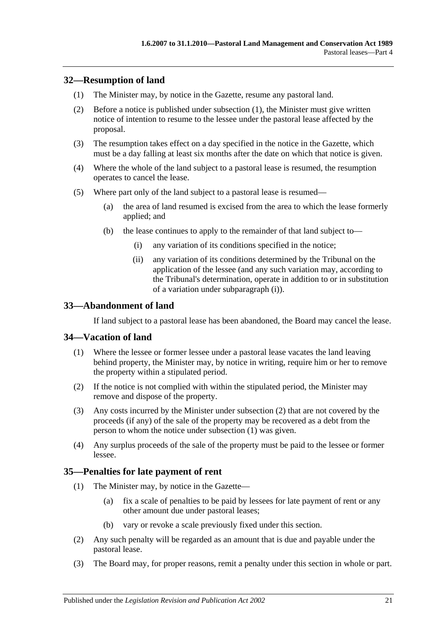## <span id="page-20-4"></span><span id="page-20-0"></span>**32—Resumption of land**

- (1) The Minister may, by notice in the Gazette, resume any pastoral land.
- (2) Before a notice is published under [subsection](#page-20-4) (1), the Minister must give written notice of intention to resume to the lessee under the pastoral lease affected by the proposal.
- (3) The resumption takes effect on a day specified in the notice in the Gazette, which must be a day falling at least six months after the date on which that notice is given.
- (4) Where the whole of the land subject to a pastoral lease is resumed, the resumption operates to cancel the lease.
- <span id="page-20-5"></span>(5) Where part only of the land subject to a pastoral lease is resumed—
	- (a) the area of land resumed is excised from the area to which the lease formerly applied; and
	- (b) the lease continues to apply to the remainder of that land subject to—
		- (i) any variation of its conditions specified in the notice;
		- (ii) any variation of its conditions determined by the Tribunal on the application of the lessee (and any such variation may, according to the Tribunal's determination, operate in addition to or in substitution of a variation under [subparagraph](#page-20-5) (i)).

## <span id="page-20-1"></span>**33—Abandonment of land**

If land subject to a pastoral lease has been abandoned, the Board may cancel the lease.

## <span id="page-20-7"></span><span id="page-20-2"></span>**34—Vacation of land**

- (1) Where the lessee or former lessee under a pastoral lease vacates the land leaving behind property, the Minister may, by notice in writing, require him or her to remove the property within a stipulated period.
- <span id="page-20-6"></span>(2) If the notice is not complied with within the stipulated period, the Minister may remove and dispose of the property.
- (3) Any costs incurred by the Minister under [subsection](#page-20-6) (2) that are not covered by the proceeds (if any) of the sale of the property may be recovered as a debt from the person to whom the notice under [subsection](#page-20-7) (1) was given.
- (4) Any surplus proceeds of the sale of the property must be paid to the lessee or former lessee.

## <span id="page-20-3"></span>**35—Penalties for late payment of rent**

- (1) The Minister may, by notice in the Gazette—
	- (a) fix a scale of penalties to be paid by lessees for late payment of rent or any other amount due under pastoral leases;
	- (b) vary or revoke a scale previously fixed under this section.
- (2) Any such penalty will be regarded as an amount that is due and payable under the pastoral lease.
- (3) The Board may, for proper reasons, remit a penalty under this section in whole or part.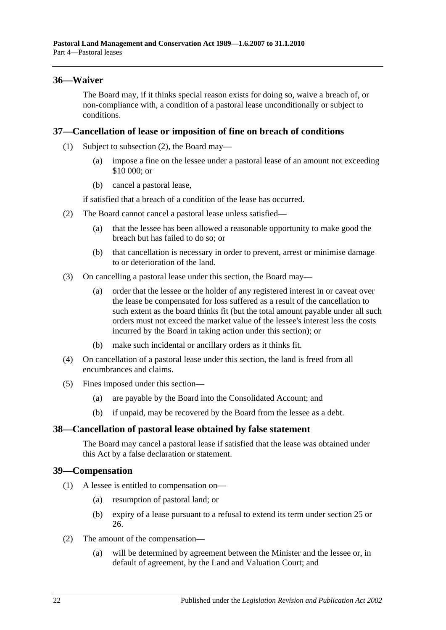## <span id="page-21-0"></span>**36—Waiver**

The Board may, if it thinks special reason exists for doing so, waive a breach of, or non-compliance with, a condition of a pastoral lease unconditionally or subject to conditions.

#### <span id="page-21-1"></span>**37—Cancellation of lease or imposition of fine on breach of conditions**

- (1) Subject to [subsection](#page-21-4) (2), the Board may—
	- (a) impose a fine on the lessee under a pastoral lease of an amount not exceeding \$10 000; or
	- (b) cancel a pastoral lease,

if satisfied that a breach of a condition of the lease has occurred.

- <span id="page-21-4"></span>(2) The Board cannot cancel a pastoral lease unless satisfied—
	- (a) that the lessee has been allowed a reasonable opportunity to make good the breach but has failed to do so; or
	- (b) that cancellation is necessary in order to prevent, arrest or minimise damage to or deterioration of the land.
- (3) On cancelling a pastoral lease under this section, the Board may—
	- (a) order that the lessee or the holder of any registered interest in or caveat over the lease be compensated for loss suffered as a result of the cancellation to such extent as the board thinks fit (but the total amount payable under all such orders must not exceed the market value of the lessee's interest less the costs incurred by the Board in taking action under this section); or
	- (b) make such incidental or ancillary orders as it thinks fit.
- (4) On cancellation of a pastoral lease under this section, the land is freed from all encumbrances and claims.
- (5) Fines imposed under this section—
	- (a) are payable by the Board into the Consolidated Account; and
	- (b) if unpaid, may be recovered by the Board from the lessee as a debt.

## <span id="page-21-2"></span>**38—Cancellation of pastoral lease obtained by false statement**

The Board may cancel a pastoral lease if satisfied that the lease was obtained under this Act by a false declaration or statement.

#### <span id="page-21-3"></span>**39—Compensation**

- (1) A lessee is entitled to compensation on—
	- (a) resumption of pastoral land; or
	- (b) expiry of a lease pursuant to a refusal to extend its term under [section](#page-15-0) 25 or [26.](#page-17-0)
- (2) The amount of the compensation—
	- (a) will be determined by agreement between the Minister and the lessee or, in default of agreement, by the Land and Valuation Court; and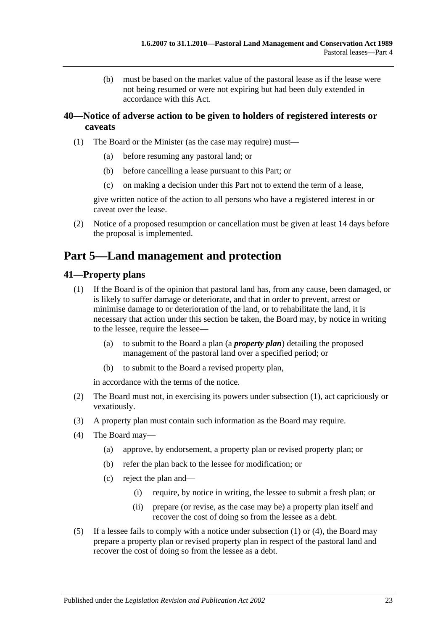(b) must be based on the market value of the pastoral lease as if the lease were not being resumed or were not expiring but had been duly extended in accordance with this Act.

## <span id="page-22-0"></span>**40—Notice of adverse action to be given to holders of registered interests or caveats**

- (1) The Board or the Minister (as the case may require) must—
	- (a) before resuming any pastoral land; or
	- (b) before cancelling a lease pursuant to this Part; or
	- (c) on making a decision under this Part not to extend the term of a lease,

give written notice of the action to all persons who have a registered interest in or caveat over the lease.

(2) Notice of a proposed resumption or cancellation must be given at least 14 days before the proposal is implemented.

# <span id="page-22-1"></span>**Part 5—Land management and protection**

## <span id="page-22-3"></span><span id="page-22-2"></span>**41—Property plans**

- (1) If the Board is of the opinion that pastoral land has, from any cause, been damaged, or is likely to suffer damage or deteriorate, and that in order to prevent, arrest or minimise damage to or deterioration of the land, or to rehabilitate the land, it is necessary that action under this section be taken, the Board may, by notice in writing to the lessee, require the lessee—
	- (a) to submit to the Board a plan (a *property plan*) detailing the proposed management of the pastoral land over a specified period; or
	- (b) to submit to the Board a revised property plan,

in accordance with the terms of the notice.

- (2) The Board must not, in exercising its powers under [subsection](#page-22-3) (1), act capriciously or vexatiously.
- (3) A property plan must contain such information as the Board may require.
- <span id="page-22-4"></span>(4) The Board may—
	- (a) approve, by endorsement, a property plan or revised property plan; or
	- (b) refer the plan back to the lessee for modification; or
	- (c) reject the plan and—
		- (i) require, by notice in writing, the lessee to submit a fresh plan; or
		- (ii) prepare (or revise, as the case may be) a property plan itself and recover the cost of doing so from the lessee as a debt.
- <span id="page-22-5"></span>(5) If a lessee fails to comply with a notice under [subsection](#page-22-3) (1) or [\(4\),](#page-22-4) the Board may prepare a property plan or revised property plan in respect of the pastoral land and recover the cost of doing so from the lessee as a debt.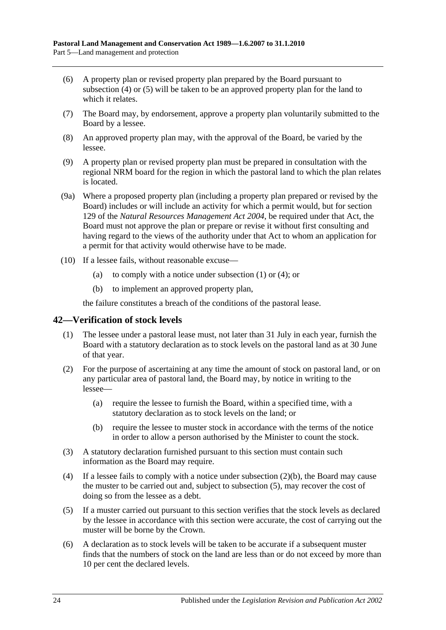- (6) A property plan or revised property plan prepared by the Board pursuant to [subsection](#page-22-4) (4) or [\(5\)](#page-22-5) will be taken to be an approved property plan for the land to which it relates.
- (7) The Board may, by endorsement, approve a property plan voluntarily submitted to the Board by a lessee.
- (8) An approved property plan may, with the approval of the Board, be varied by the lessee.
- (9) A property plan or revised property plan must be prepared in consultation with the regional NRM board for the region in which the pastoral land to which the plan relates is located.
- (9a) Where a proposed property plan (including a property plan prepared or revised by the Board) includes or will include an activity for which a permit would, but for section 129 of the *[Natural Resources Management Act](http://www.legislation.sa.gov.au/index.aspx?action=legref&type=act&legtitle=Natural%20Resources%20Management%20Act%202004) 2004*, be required under that Act, the Board must not approve the plan or prepare or revise it without first consulting and having regard to the views of the authority under that Act to whom an application for a permit for that activity would otherwise have to be made.
- (10) If a lessee fails, without reasonable excuse
	- (a) to comply with a notice under [subsection](#page-22-3)  $(1)$  or  $(4)$ ; or
	- (b) to implement an approved property plan,

the failure constitutes a breach of the conditions of the pastoral lease.

#### <span id="page-23-0"></span>**42—Verification of stock levels**

- (1) The lessee under a pastoral lease must, not later than 31 July in each year, furnish the Board with a statutory declaration as to stock levels on the pastoral land as at 30 June of that year.
- (2) For the purpose of ascertaining at any time the amount of stock on pastoral land, or on any particular area of pastoral land, the Board may, by notice in writing to the lessee—
	- (a) require the lessee to furnish the Board, within a specified time, with a statutory declaration as to stock levels on the land; or
	- (b) require the lessee to muster stock in accordance with the terms of the notice in order to allow a person authorised by the Minister to count the stock.
- <span id="page-23-1"></span>(3) A statutory declaration furnished pursuant to this section must contain such information as the Board may require.
- (4) If a lessee fails to comply with a notice under [subsection](#page-23-1)  $(2)(b)$ , the Board may cause the muster to be carried out and, subject to [subsection](#page-23-2) (5), may recover the cost of doing so from the lessee as a debt.
- <span id="page-23-2"></span>(5) If a muster carried out pursuant to this section verifies that the stock levels as declared by the lessee in accordance with this section were accurate, the cost of carrying out the muster will be borne by the Crown.
- (6) A declaration as to stock levels will be taken to be accurate if a subsequent muster finds that the numbers of stock on the land are less than or do not exceed by more than 10 per cent the declared levels.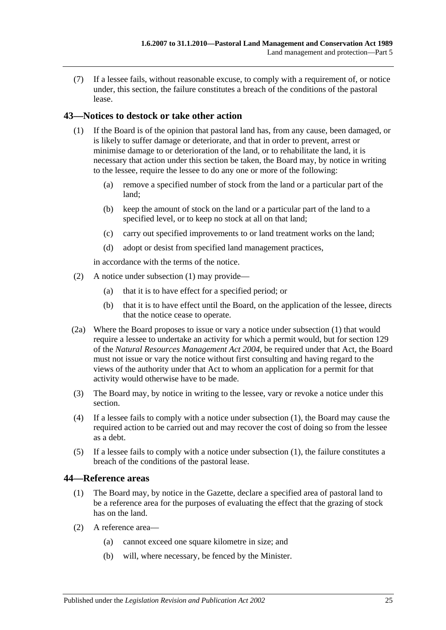(7) If a lessee fails, without reasonable excuse, to comply with a requirement of, or notice under, this section, the failure constitutes a breach of the conditions of the pastoral lease.

## <span id="page-24-2"></span><span id="page-24-0"></span>**43—Notices to destock or take other action**

- (1) If the Board is of the opinion that pastoral land has, from any cause, been damaged, or is likely to suffer damage or deteriorate, and that in order to prevent, arrest or minimise damage to or deterioration of the land, or to rehabilitate the land, it is necessary that action under this section be taken, the Board may, by notice in writing to the lessee, require the lessee to do any one or more of the following:
	- (a) remove a specified number of stock from the land or a particular part of the land;
	- (b) keep the amount of stock on the land or a particular part of the land to a specified level, or to keep no stock at all on that land;
	- (c) carry out specified improvements to or land treatment works on the land;
	- (d) adopt or desist from specified land management practices,

in accordance with the terms of the notice.

- (2) A notice under [subsection](#page-24-2) (1) may provide—
	- (a) that it is to have effect for a specified period; or
	- (b) that it is to have effect until the Board, on the application of the lessee, directs that the notice cease to operate.
- (2a) Where the Board proposes to issue or vary a notice under [subsection](#page-24-2) (1) that would require a lessee to undertake an activity for which a permit would, but for section 129 of the *[Natural Resources Management Act](http://www.legislation.sa.gov.au/index.aspx?action=legref&type=act&legtitle=Natural%20Resources%20Management%20Act%202004) 2004*, be required under that Act, the Board must not issue or vary the notice without first consulting and having regard to the views of the authority under that Act to whom an application for a permit for that activity would otherwise have to be made.
- (3) The Board may, by notice in writing to the lessee, vary or revoke a notice under this section.
- (4) If a lessee fails to comply with a notice under [subsection](#page-24-2) (1), the Board may cause the required action to be carried out and may recover the cost of doing so from the lessee as a debt.
- (5) If a lessee fails to comply with a notice under [subsection](#page-24-2) (1), the failure constitutes a breach of the conditions of the pastoral lease.

## <span id="page-24-1"></span>**44—Reference areas**

- (1) The Board may, by notice in the Gazette, declare a specified area of pastoral land to be a reference area for the purposes of evaluating the effect that the grazing of stock has on the land.
- (2) A reference area—
	- (a) cannot exceed one square kilometre in size; and
	- (b) will, where necessary, be fenced by the Minister.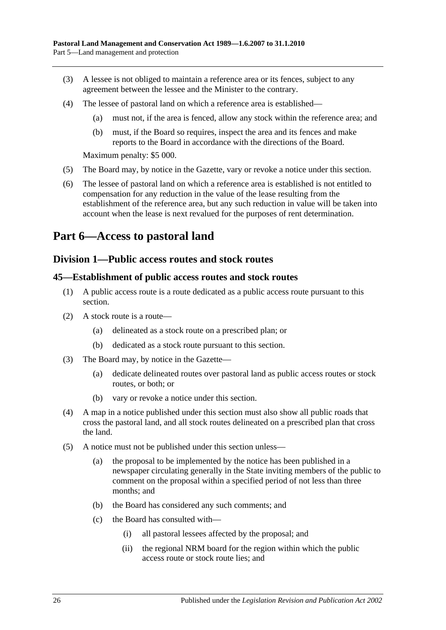- (3) A lessee is not obliged to maintain a reference area or its fences, subject to any agreement between the lessee and the Minister to the contrary.
- (4) The lessee of pastoral land on which a reference area is established—
	- (a) must not, if the area is fenced, allow any stock within the reference area; and
	- (b) must, if the Board so requires, inspect the area and its fences and make reports to the Board in accordance with the directions of the Board.

Maximum penalty: \$5 000.

- (5) The Board may, by notice in the Gazette, vary or revoke a notice under this section.
- (6) The lessee of pastoral land on which a reference area is established is not entitled to compensation for any reduction in the value of the lease resulting from the establishment of the reference area, but any such reduction in value will be taken into account when the lease is next revalued for the purposes of rent determination.

# <span id="page-25-1"></span><span id="page-25-0"></span>**Part 6—Access to pastoral land**

## **Division 1—Public access routes and stock routes**

#### <span id="page-25-2"></span>**45—Establishment of public access routes and stock routes**

- (1) A public access route is a route dedicated as a public access route pursuant to this section.
- (2) A stock route is a route—
	- (a) delineated as a stock route on a prescribed plan; or
	- (b) dedicated as a stock route pursuant to this section.
- (3) The Board may, by notice in the Gazette—
	- (a) dedicate delineated routes over pastoral land as public access routes or stock routes, or both; or
	- (b) vary or revoke a notice under this section.
- (4) A map in a notice published under this section must also show all public roads that cross the pastoral land, and all stock routes delineated on a prescribed plan that cross the land.
- <span id="page-25-3"></span>(5) A notice must not be published under this section unless—
	- (a) the proposal to be implemented by the notice has been published in a newspaper circulating generally in the State inviting members of the public to comment on the proposal within a specified period of not less than three months; and
	- (b) the Board has considered any such comments; and
	- (c) the Board has consulted with—
		- (i) all pastoral lessees affected by the proposal; and
		- (ii) the regional NRM board for the region within which the public access route or stock route lies; and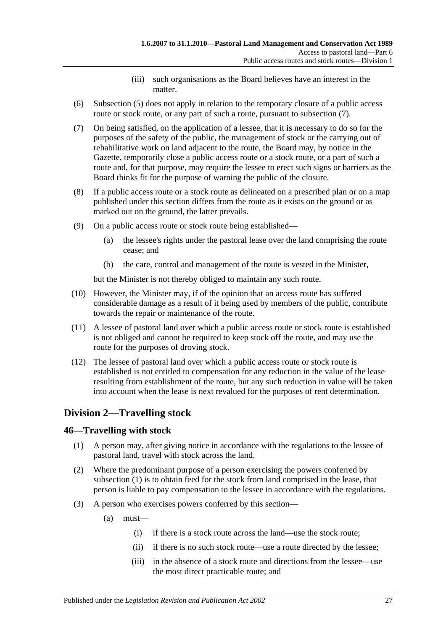- (iii) such organisations as the Board believes have an interest in the matter.
- (6) [Subsection](#page-25-3) (5) does not apply in relation to the temporary closure of a public access route or stock route, or any part of such a route, pursuant to [subsection](#page-26-2) (7).
- <span id="page-26-2"></span>(7) On being satisfied, on the application of a lessee, that it is necessary to do so for the purposes of the safety of the public, the management of stock or the carrying out of rehabilitative work on land adjacent to the route, the Board may, by notice in the Gazette, temporarily close a public access route or a stock route, or a part of such a route and, for that purpose, may require the lessee to erect such signs or barriers as the Board thinks fit for the purpose of warning the public of the closure.
- (8) If a public access route or a stock route as delineated on a prescribed plan or on a map published under this section differs from the route as it exists on the ground or as marked out on the ground, the latter prevails.
- (9) On a public access route or stock route being established—
	- (a) the lessee's rights under the pastoral lease over the land comprising the route cease; and
	- (b) the care, control and management of the route is vested in the Minister,

but the Minister is not thereby obliged to maintain any such route.

- (10) However, the Minister may, if of the opinion that an access route has suffered considerable damage as a result of it being used by members of the public, contribute towards the repair or maintenance of the route.
- (11) A lessee of pastoral land over which a public access route or stock route is established is not obliged and cannot be required to keep stock off the route, and may use the route for the purposes of droving stock.
- (12) The lessee of pastoral land over which a public access route or stock route is established is not entitled to compensation for any reduction in the value of the lease resulting from establishment of the route, but any such reduction in value will be taken into account when the lease is next revalued for the purposes of rent determination.

## <span id="page-26-0"></span>**Division 2—Travelling stock**

## <span id="page-26-3"></span><span id="page-26-1"></span>**46—Travelling with stock**

- (1) A person may, after giving notice in accordance with the regulations to the lessee of pastoral land, travel with stock across the land.
- (2) Where the predominant purpose of a person exercising the powers conferred by [subsection](#page-26-3) (1) is to obtain feed for the stock from land comprised in the lease, that person is liable to pay compensation to the lessee in accordance with the regulations.
- (3) A person who exercises powers conferred by this section—
	- (a) must—
		- (i) if there is a stock route across the land—use the stock route;
		- (ii) if there is no such stock route—use a route directed by the lessee;
		- (iii) in the absence of a stock route and directions from the lessee—use the most direct practicable route; and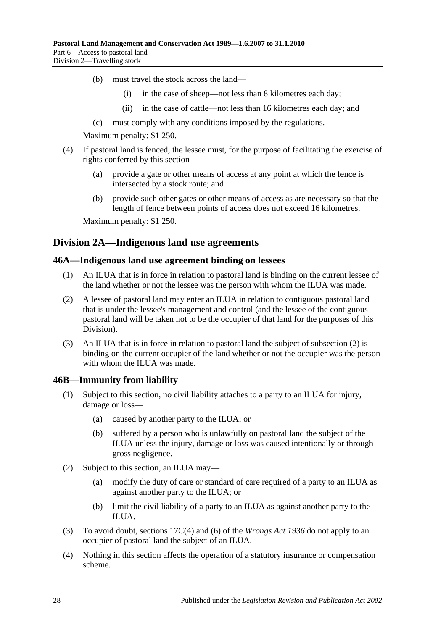- (b) must travel the stock across the land—
	- (i) in the case of sheep—not less than 8 kilometres each day;
	- (ii) in the case of cattle—not less than 16 kilometres each day; and
- (c) must comply with any conditions imposed by the regulations.

Maximum penalty: \$1 250.

- (4) If pastoral land is fenced, the lessee must, for the purpose of facilitating the exercise of rights conferred by this section—
	- (a) provide a gate or other means of access at any point at which the fence is intersected by a stock route; and
	- (b) provide such other gates or other means of access as are necessary so that the length of fence between points of access does not exceed 16 kilometres.

Maximum penalty: \$1 250.

## <span id="page-27-0"></span>**Division 2A—Indigenous land use agreements**

#### <span id="page-27-1"></span>**46A—Indigenous land use agreement binding on lessees**

- (1) An ILUA that is in force in relation to pastoral land is binding on the current lessee of the land whether or not the lessee was the person with whom the ILUA was made.
- <span id="page-27-3"></span>(2) A lessee of pastoral land may enter an ILUA in relation to contiguous pastoral land that is under the lessee's management and control (and the lessee of the contiguous pastoral land will be taken not to be the occupier of that land for the purposes of this Division).
- (3) An ILUA that is in force in relation to pastoral land the subject of [subsection](#page-27-3) (2) is binding on the current occupier of the land whether or not the occupier was the person with whom the ILUA was made.

#### <span id="page-27-2"></span>**46B—Immunity from liability**

- (1) Subject to this section, no civil liability attaches to a party to an ILUA for injury, damage or loss—
	- (a) caused by another party to the ILUA; or
	- (b) suffered by a person who is unlawfully on pastoral land the subject of the ILUA unless the injury, damage or loss was caused intentionally or through gross negligence.
- (2) Subject to this section, an ILUA may—
	- (a) modify the duty of care or standard of care required of a party to an ILUA as against another party to the ILUA; or
	- (b) limit the civil liability of a party to an ILUA as against another party to the ILUA.
- (3) To avoid doubt, sections 17C(4) and (6) of the *[Wrongs Act](http://www.legislation.sa.gov.au/index.aspx?action=legref&type=act&legtitle=Wrongs%20Act%201936) 1936* do not apply to an occupier of pastoral land the subject of an ILUA.
- (4) Nothing in this section affects the operation of a statutory insurance or compensation scheme.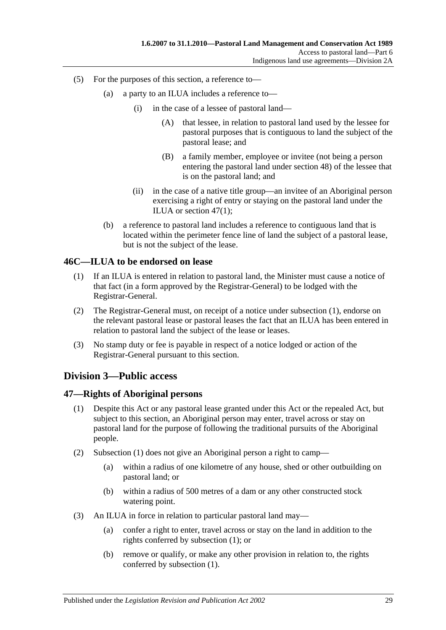- (5) For the purposes of this section, a reference to—
	- (a) a party to an ILUA includes a reference to—
		- (i) in the case of a lessee of pastoral land—
			- (A) that lessee, in relation to pastoral land used by the lessee for pastoral purposes that is contiguous to land the subject of the pastoral lease; and
			- (B) a family member, employee or invitee (not being a person entering the pastoral land under [section](#page-29-0) 48) of the lessee that is on the pastoral land; and
		- (ii) in the case of a native title group—an invitee of an Aboriginal person exercising a right of entry or staying on the pastoral land under the ILUA or [section](#page-28-3) 47(1);
	- (b) a reference to pastoral land includes a reference to contiguous land that is located within the perimeter fence line of land the subject of a pastoral lease, but is not the subject of the lease.

#### <span id="page-28-4"></span><span id="page-28-0"></span>**46C—ILUA to be endorsed on lease**

- (1) If an ILUA is entered in relation to pastoral land, the Minister must cause a notice of that fact (in a form approved by the Registrar-General) to be lodged with the Registrar-General.
- (2) The Registrar-General must, on receipt of a notice under [subsection](#page-28-4) (1), endorse on the relevant pastoral lease or pastoral leases the fact that an ILUA has been entered in relation to pastoral land the subject of the lease or leases.
- (3) No stamp duty or fee is payable in respect of a notice lodged or action of the Registrar-General pursuant to this section.

## <span id="page-28-1"></span>**Division 3—Public access**

#### <span id="page-28-3"></span><span id="page-28-2"></span>**47—Rights of Aboriginal persons**

- (1) Despite this Act or any pastoral lease granted under this Act or the repealed Act, but subject to this section, an Aboriginal person may enter, travel across or stay on pastoral land for the purpose of following the traditional pursuits of the Aboriginal people.
- (2) [Subsection](#page-28-3) (1) does not give an Aboriginal person a right to camp—
	- (a) within a radius of one kilometre of any house, shed or other outbuilding on pastoral land; or
	- (b) within a radius of 500 metres of a dam or any other constructed stock watering point.
- (3) An ILUA in force in relation to particular pastoral land may—
	- (a) confer a right to enter, travel across or stay on the land in addition to the rights conferred by [subsection](#page-28-3) (1); or
	- (b) remove or qualify, or make any other provision in relation to, the rights conferred by [subsection](#page-28-3) (1).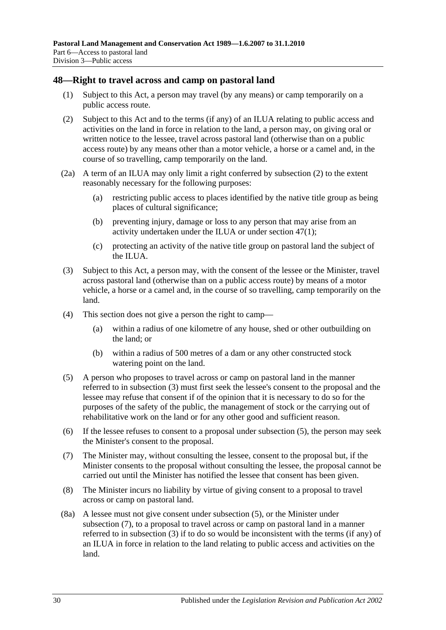#### <span id="page-29-0"></span>**48—Right to travel across and camp on pastoral land**

- (1) Subject to this Act, a person may travel (by any means) or camp temporarily on a public access route.
- <span id="page-29-1"></span>(2) Subject to this Act and to the terms (if any) of an ILUA relating to public access and activities on the land in force in relation to the land, a person may, on giving oral or written notice to the lessee, travel across pastoral land (otherwise than on a public access route) by any means other than a motor vehicle, a horse or a camel and, in the course of so travelling, camp temporarily on the land.
- <span id="page-29-5"></span>(2a) A term of an ILUA may only limit a right conferred by [subsection](#page-29-1) (2) to the extent reasonably necessary for the following purposes:
	- (a) restricting public access to places identified by the native title group as being places of cultural significance;
	- (b) preventing injury, damage or loss to any person that may arise from an activity undertaken under the ILUA or under [section](#page-28-3) 47(1);
	- (c) protecting an activity of the native title group on pastoral land the subject of the ILUA.
- <span id="page-29-2"></span>(3) Subject to this Act, a person may, with the consent of the lessee or the Minister, travel across pastoral land (otherwise than on a public access route) by means of a motor vehicle, a horse or a camel and, in the course of so travelling, camp temporarily on the land.
- (4) This section does not give a person the right to camp—
	- (a) within a radius of one kilometre of any house, shed or other outbuilding on the land; or
	- (b) within a radius of 500 metres of a dam or any other constructed stock watering point on the land.
- <span id="page-29-3"></span>(5) A person who proposes to travel across or camp on pastoral land in the manner referred to in [subsection](#page-29-2) (3) must first seek the lessee's consent to the proposal and the lessee may refuse that consent if of the opinion that it is necessary to do so for the purposes of the safety of the public, the management of stock or the carrying out of rehabilitative work on the land or for any other good and sufficient reason.
- (6) If the lessee refuses to consent to a proposal under [subsection](#page-29-3) (5), the person may seek the Minister's consent to the proposal.
- <span id="page-29-4"></span>(7) The Minister may, without consulting the lessee, consent to the proposal but, if the Minister consents to the proposal without consulting the lessee, the proposal cannot be carried out until the Minister has notified the lessee that consent has been given.
- (8) The Minister incurs no liability by virtue of giving consent to a proposal to travel across or camp on pastoral land.
- (8a) A lessee must not give consent under [subsection](#page-29-3) (5), or the Minister under [subsection](#page-29-4) (7), to a proposal to travel across or camp on pastoral land in a manner referred to in [subsection](#page-29-2) (3) if to do so would be inconsistent with the terms (if any) of an ILUA in force in relation to the land relating to public access and activities on the land.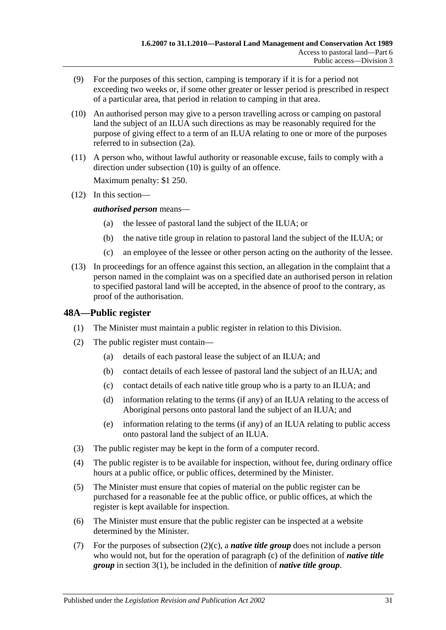- (9) For the purposes of this section, camping is temporary if it is for a period not exceeding two weeks or, if some other greater or lesser period is prescribed in respect of a particular area, that period in relation to camping in that area.
- <span id="page-30-1"></span>(10) An authorised person may give to a person travelling across or camping on pastoral land the subject of an ILUA such directions as may be reasonably required for the purpose of giving effect to a term of an ILUA relating to one or more of the purposes referred to in [subsection](#page-29-5) (2a).
- (11) A person who, without lawful authority or reasonable excuse, fails to comply with a direction under [subsection](#page-30-1) (10) is guilty of an offence.

Maximum penalty: \$1 250.

(12) In this section—

*authorised person* means—

- (a) the lessee of pastoral land the subject of the ILUA; or
- (b) the native title group in relation to pastoral land the subject of the ILUA; or
- (c) an employee of the lessee or other person acting on the authority of the lessee.
- (13) In proceedings for an offence against this section, an allegation in the complaint that a person named in the complaint was on a specified date an authorised person in relation to specified pastoral land will be accepted, in the absence of proof to the contrary, as proof of the authorisation.

## <span id="page-30-0"></span>**48A—Public register**

- (1) The Minister must maintain a public register in relation to this Division.
- <span id="page-30-2"></span>(2) The public register must contain—
	- (a) details of each pastoral lease the subject of an ILUA; and
	- (b) contact details of each lessee of pastoral land the subject of an ILUA; and
	- (c) contact details of each native title group who is a party to an ILUA; and
	- (d) information relating to the terms (if any) of an ILUA relating to the access of Aboriginal persons onto pastoral land the subject of an ILUA; and
	- (e) information relating to the terms (if any) of an ILUA relating to public access onto pastoral land the subject of an ILUA.
- (3) The public register may be kept in the form of a computer record.
- (4) The public register is to be available for inspection, without fee, during ordinary office hours at a public office, or public offices, determined by the Minister.
- (5) The Minister must ensure that copies of material on the public register can be purchased for a reasonable fee at the public office, or public offices, at which the register is kept available for inspection.
- (6) The Minister must ensure that the public register can be inspected at a website determined by the Minister.
- (7) For the purposes of [subsection](#page-30-2) (2)(c), a *native title group* does not include a person who would not, but for the operation of [paragraph](#page-3-0) (c) of the definition of *native title group* in [section](#page-2-3) 3(1), be included in the definition of *native title group*.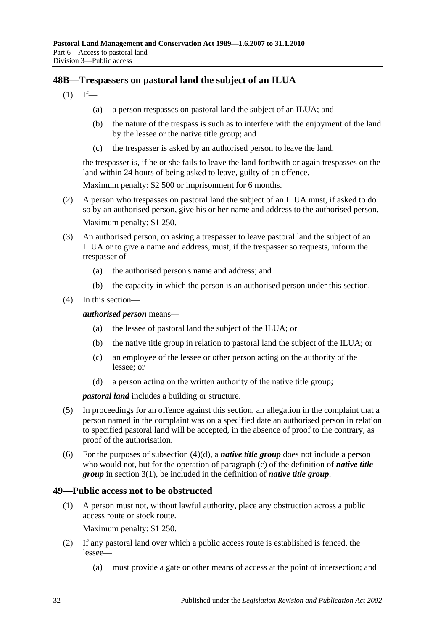## <span id="page-31-0"></span>**48B—Trespassers on pastoral land the subject of an ILUA**

- $(1)$  If—
	- (a) a person trespasses on pastoral land the subject of an ILUA; and
	- (b) the nature of the trespass is such as to interfere with the enjoyment of the land by the lessee or the native title group; and
	- (c) the trespasser is asked by an authorised person to leave the land,

the trespasser is, if he or she fails to leave the land forthwith or again trespasses on the land within 24 hours of being asked to leave, guilty of an offence.

Maximum penalty: \$2 500 or imprisonment for 6 months.

- (2) A person who trespasses on pastoral land the subject of an ILUA must, if asked to do so by an authorised person, give his or her name and address to the authorised person. Maximum penalty: \$1 250.
- (3) An authorised person, on asking a trespasser to leave pastoral land the subject of an ILUA or to give a name and address, must, if the trespasser so requests, inform the trespasser of—
	- (a) the authorised person's name and address; and
	- (b) the capacity in which the person is an authorised person under this section.
- (4) In this section—

*authorised person* means—

- (a) the lessee of pastoral land the subject of the ILUA; or
- (b) the native title group in relation to pastoral land the subject of the ILUA; or
- (c) an employee of the lessee or other person acting on the authority of the lessee; or
- (d) a person acting on the written authority of the native title group;

*pastoral land* includes a building or structure.

- <span id="page-31-2"></span>(5) In proceedings for an offence against this section, an allegation in the complaint that a person named in the complaint was on a specified date an authorised person in relation to specified pastoral land will be accepted, in the absence of proof to the contrary, as proof of the authorisation.
- (6) For the purposes of [subsection](#page-31-2) (4)(d), a *native title group* does not include a person who would not, but for the operation of [paragraph](#page-3-0) (c) of the definition of *native title group* in [section](#page-2-3) 3(1), be included in the definition of *native title group*.

## <span id="page-31-1"></span>**49—Public access not to be obstructed**

(1) A person must not, without lawful authority, place any obstruction across a public access route or stock route.

Maximum penalty: \$1 250.

- (2) If any pastoral land over which a public access route is established is fenced, the lessee—
	- (a) must provide a gate or other means of access at the point of intersection; and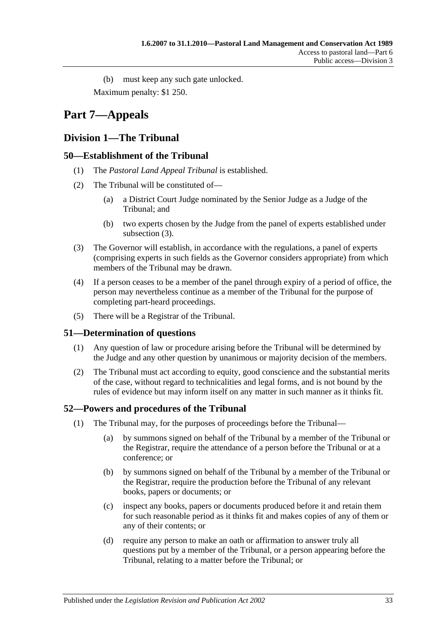(b) must keep any such gate unlocked. Maximum penalty: \$1 250.

# <span id="page-32-0"></span>**Part 7—Appeals**

# <span id="page-32-1"></span>**Division 1—The Tribunal**

## <span id="page-32-2"></span>**50—Establishment of the Tribunal**

- (1) The *Pastoral Land Appeal Tribunal* is established.
- (2) The Tribunal will be constituted of—
	- (a) a District Court Judge nominated by the Senior Judge as a Judge of the Tribunal; and
	- (b) two experts chosen by the Judge from the panel of experts established under [subsection](#page-32-5) (3).
- <span id="page-32-5"></span>(3) The Governor will establish, in accordance with the regulations, a panel of experts (comprising experts in such fields as the Governor considers appropriate) from which members of the Tribunal may be drawn.
- (4) If a person ceases to be a member of the panel through expiry of a period of office, the person may nevertheless continue as a member of the Tribunal for the purpose of completing part-heard proceedings.
- (5) There will be a Registrar of the Tribunal.

## <span id="page-32-3"></span>**51—Determination of questions**

- (1) Any question of law or procedure arising before the Tribunal will be determined by the Judge and any other question by unanimous or majority decision of the members.
- (2) The Tribunal must act according to equity, good conscience and the substantial merits of the case, without regard to technicalities and legal forms, and is not bound by the rules of evidence but may inform itself on any matter in such manner as it thinks fit.

## <span id="page-32-4"></span>**52—Powers and procedures of the Tribunal**

- (1) The Tribunal may, for the purposes of proceedings before the Tribunal—
	- (a) by summons signed on behalf of the Tribunal by a member of the Tribunal or the Registrar, require the attendance of a person before the Tribunal or at a conference; or
	- (b) by summons signed on behalf of the Tribunal by a member of the Tribunal or the Registrar, require the production before the Tribunal of any relevant books, papers or documents; or
	- (c) inspect any books, papers or documents produced before it and retain them for such reasonable period as it thinks fit and makes copies of any of them or any of their contents; or
	- (d) require any person to make an oath or affirmation to answer truly all questions put by a member of the Tribunal, or a person appearing before the Tribunal, relating to a matter before the Tribunal; or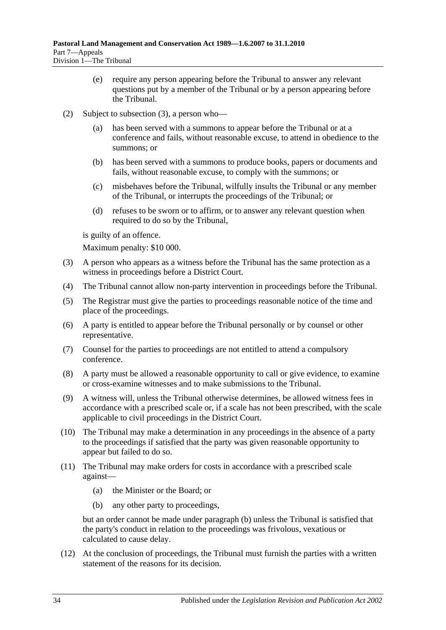- (e) require any person appearing before the Tribunal to answer any relevant questions put by a member of the Tribunal or by a person appearing before the Tribunal.
- (2) Subject to [subsection](#page-33-0) (3), a person who
	- has been served with a summons to appear before the Tribunal or at a conference and fails, without reasonable excuse, to attend in obedience to the summons; or
	- (b) has been served with a summons to produce books, papers or documents and fails, without reasonable excuse, to comply with the summons; or
	- (c) misbehaves before the Tribunal, wilfully insults the Tribunal or any member of the Tribunal, or interrupts the proceedings of the Tribunal; or
	- (d) refuses to be sworn or to affirm, or to answer any relevant question when required to do so by the Tribunal,

is guilty of an offence.

Maximum penalty: \$10 000.

- <span id="page-33-0"></span>(3) A person who appears as a witness before the Tribunal has the same protection as a witness in proceedings before a District Court.
- (4) The Tribunal cannot allow non-party intervention in proceedings before the Tribunal.
- (5) The Registrar must give the parties to proceedings reasonable notice of the time and place of the proceedings.
- (6) A party is entitled to appear before the Tribunal personally or by counsel or other representative.
- (7) Counsel for the parties to proceedings are not entitled to attend a compulsory conference.
- (8) A party must be allowed a reasonable opportunity to call or give evidence, to examine or cross-examine witnesses and to make submissions to the Tribunal.
- (9) A witness will, unless the Tribunal otherwise determines, be allowed witness fees in accordance with a prescribed scale or, if a scale has not been prescribed, with the scale applicable to civil proceedings in the District Court.
- (10) The Tribunal may make a determination in any proceedings in the absence of a party to the proceedings if satisfied that the party was given reasonable opportunity to appear but failed to do so.
- <span id="page-33-1"></span>(11) The Tribunal may make orders for costs in accordance with a prescribed scale against—
	- (a) the Minister or the Board; or
	- (b) any other party to proceedings,

but an order cannot be made under [paragraph](#page-33-1) (b) unless the Tribunal is satisfied that the party's conduct in relation to the proceedings was frivolous, vexatious or calculated to cause delay.

(12) At the conclusion of proceedings, the Tribunal must furnish the parties with a written statement of the reasons for its decision.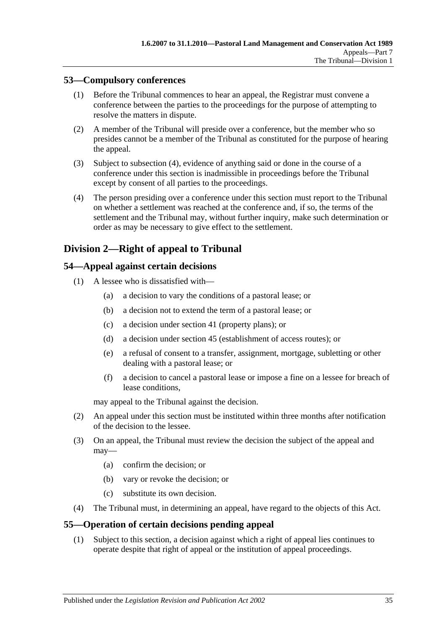## <span id="page-34-0"></span>**53—Compulsory conferences**

- (1) Before the Tribunal commences to hear an appeal, the Registrar must convene a conference between the parties to the proceedings for the purpose of attempting to resolve the matters in dispute.
- (2) A member of the Tribunal will preside over a conference, but the member who so presides cannot be a member of the Tribunal as constituted for the purpose of hearing the appeal.
- (3) Subject to [subsection](#page-34-4) (4), evidence of anything said or done in the course of a conference under this section is inadmissible in proceedings before the Tribunal except by consent of all parties to the proceedings.
- <span id="page-34-4"></span>(4) The person presiding over a conference under this section must report to the Tribunal on whether a settlement was reached at the conference and, if so, the terms of the settlement and the Tribunal may, without further inquiry, make such determination or order as may be necessary to give effect to the settlement.

## <span id="page-34-1"></span>**Division 2—Right of appeal to Tribunal**

## <span id="page-34-2"></span>**54—Appeal against certain decisions**

- (1) A lessee who is dissatisfied with—
	- (a) a decision to vary the conditions of a pastoral lease; or
	- (b) a decision not to extend the term of a pastoral lease; or
	- (c) a decision under [section](#page-22-2) 41 (property plans); or
	- (d) a decision under [section](#page-25-2) 45 (establishment of access routes); or
	- (e) a refusal of consent to a transfer, assignment, mortgage, subletting or other dealing with a pastoral lease; or
	- (f) a decision to cancel a pastoral lease or impose a fine on a lessee for breach of lease conditions,

may appeal to the Tribunal against the decision.

- (2) An appeal under this section must be instituted within three months after notification of the decision to the lessee.
- (3) On an appeal, the Tribunal must review the decision the subject of the appeal and may—
	- (a) confirm the decision; or
	- (b) vary or revoke the decision; or
	- (c) substitute its own decision.
- (4) The Tribunal must, in determining an appeal, have regard to the objects of this Act.

## <span id="page-34-3"></span>**55—Operation of certain decisions pending appeal**

(1) Subject to this section, a decision against which a right of appeal lies continues to operate despite that right of appeal or the institution of appeal proceedings.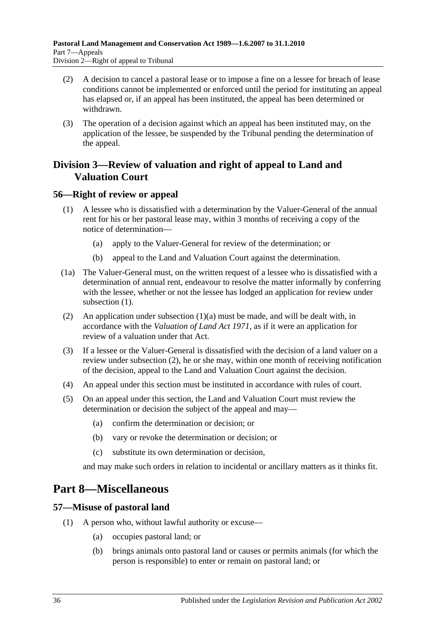- (2) A decision to cancel a pastoral lease or to impose a fine on a lessee for breach of lease conditions cannot be implemented or enforced until the period for instituting an appeal has elapsed or, if an appeal has been instituted, the appeal has been determined or withdrawn.
- (3) The operation of a decision against which an appeal has been instituted may, on the application of the lessee, be suspended by the Tribunal pending the determination of the appeal.

## <span id="page-35-0"></span>**Division 3—Review of valuation and right of appeal to Land and Valuation Court**

## <span id="page-35-4"></span><span id="page-35-1"></span>**56—Right of review or appeal**

- <span id="page-35-5"></span>(1) A lessee who is dissatisfied with a determination by the Valuer-General of the annual rent for his or her pastoral lease may, within 3 months of receiving a copy of the notice of determination—
	- (a) apply to the Valuer-General for review of the determination; or
	- (b) appeal to the Land and Valuation Court against the determination.
- (1a) The Valuer-General must, on the written request of a lessee who is dissatisfied with a determination of annual rent, endeavour to resolve the matter informally by conferring with the lessee, whether or not the lessee has lodged an application for review under [subsection](#page-35-4)  $(1)$ .
- <span id="page-35-6"></span>(2) An application under [subsection](#page-35-5) (1)(a) must be made, and will be dealt with, in accordance with the *[Valuation of Land Act](http://www.legislation.sa.gov.au/index.aspx?action=legref&type=act&legtitle=Valuation%20of%20Land%20Act%201971) 1971*, as if it were an application for review of a valuation under that Act.
- (3) If a lessee or the Valuer-General is dissatisfied with the decision of a land valuer on a review under [subsection](#page-35-6) (2), he or she may, within one month of receiving notification of the decision, appeal to the Land and Valuation Court against the decision.
- (4) An appeal under this section must be instituted in accordance with rules of court.
- (5) On an appeal under this section, the Land and Valuation Court must review the determination or decision the subject of the appeal and may—
	- (a) confirm the determination or decision; or
	- (b) vary or revoke the determination or decision; or
	- (c) substitute its own determination or decision,

and may make such orders in relation to incidental or ancillary matters as it thinks fit.

# <span id="page-35-2"></span>**Part 8—Miscellaneous**

## <span id="page-35-7"></span><span id="page-35-3"></span>**57—Misuse of pastoral land**

- (1) A person who, without lawful authority or excuse—
	- (a) occupies pastoral land; or
	- (b) brings animals onto pastoral land or causes or permits animals (for which the person is responsible) to enter or remain on pastoral land; or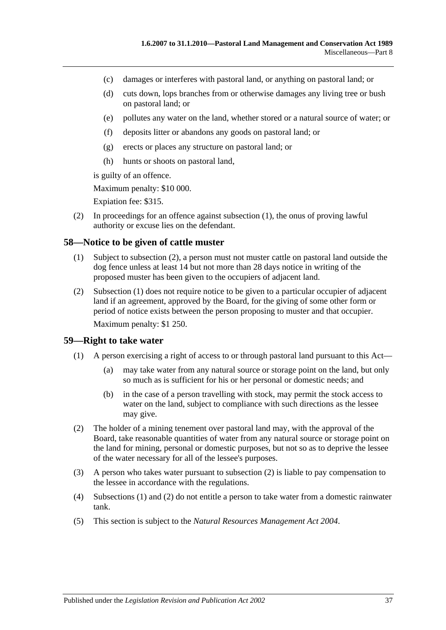- (c) damages or interferes with pastoral land, or anything on pastoral land; or
- (d) cuts down, lops branches from or otherwise damages any living tree or bush on pastoral land; or
- (e) pollutes any water on the land, whether stored or a natural source of water; or
- (f) deposits litter or abandons any goods on pastoral land; or
- (g) erects or places any structure on pastoral land; or
- (h) hunts or shoots on pastoral land,

is guilty of an offence.

Maximum penalty: \$10 000.

Expiation fee: \$315.

(2) In proceedings for an offence against [subsection](#page-35-7) (1), the onus of proving lawful authority or excuse lies on the defendant.

#### <span id="page-36-3"></span><span id="page-36-0"></span>**58—Notice to be given of cattle muster**

- (1) Subject to [subsection](#page-36-2) (2), a person must not muster cattle on pastoral land outside the dog fence unless at least 14 but not more than 28 days notice in writing of the proposed muster has been given to the occupiers of adjacent land.
- <span id="page-36-2"></span>(2) [Subsection](#page-36-3) (1) does not require notice to be given to a particular occupier of adjacent land if an agreement, approved by the Board, for the giving of some other form or period of notice exists between the person proposing to muster and that occupier. Maximum penalty: \$1 250.

#### <span id="page-36-5"></span><span id="page-36-1"></span>**59—Right to take water**

- (1) A person exercising a right of access to or through pastoral land pursuant to this Act—
	- (a) may take water from any natural source or storage point on the land, but only so much as is sufficient for his or her personal or domestic needs; and
	- (b) in the case of a person travelling with stock, may permit the stock access to water on the land, subject to compliance with such directions as the lessee may give.
- <span id="page-36-4"></span>(2) The holder of a mining tenement over pastoral land may, with the approval of the Board, take reasonable quantities of water from any natural source or storage point on the land for mining, personal or domestic purposes, but not so as to deprive the lessee of the water necessary for all of the lessee's purposes.
- (3) A person who takes water pursuant to [subsection](#page-36-4) (2) is liable to pay compensation to the lessee in accordance with the regulations.
- (4) [Subsections](#page-36-5) (1) and [\(2\)](#page-36-4) do not entitle a person to take water from a domestic rainwater tank.
- (5) This section is subject to the *[Natural Resources Management Act](http://www.legislation.sa.gov.au/index.aspx?action=legref&type=act&legtitle=Natural%20Resources%20Management%20Act%202004) 2004*.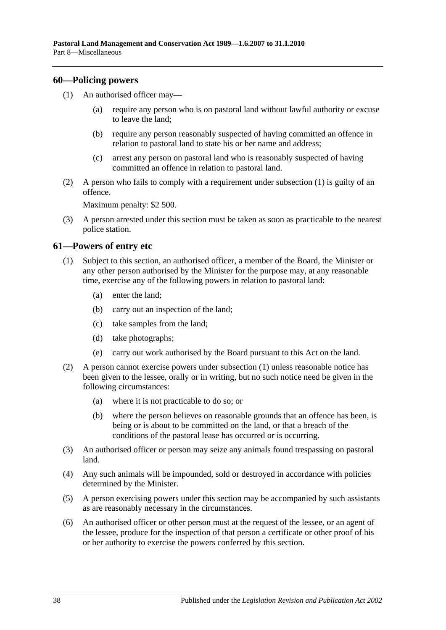#### <span id="page-37-2"></span><span id="page-37-0"></span>**60—Policing powers**

- (1) An authorised officer may—
	- (a) require any person who is on pastoral land without lawful authority or excuse to leave the land;
	- (b) require any person reasonably suspected of having committed an offence in relation to pastoral land to state his or her name and address;
	- (c) arrest any person on pastoral land who is reasonably suspected of having committed an offence in relation to pastoral land.
- (2) A person who fails to comply with a requirement under [subsection](#page-37-2) (1) is guilty of an offence.

Maximum penalty: \$2 500.

(3) A person arrested under this section must be taken as soon as practicable to the nearest police station.

#### <span id="page-37-3"></span><span id="page-37-1"></span>**61—Powers of entry etc**

- (1) Subject to this section, an authorised officer, a member of the Board, the Minister or any other person authorised by the Minister for the purpose may, at any reasonable time, exercise any of the following powers in relation to pastoral land:
	- (a) enter the land;
	- (b) carry out an inspection of the land;
	- (c) take samples from the land;
	- (d) take photographs;
	- (e) carry out work authorised by the Board pursuant to this Act on the land.
- (2) A person cannot exercise powers under [subsection](#page-37-3) (1) unless reasonable notice has been given to the lessee, orally or in writing, but no such notice need be given in the following circumstances:
	- (a) where it is not practicable to do so; or
	- (b) where the person believes on reasonable grounds that an offence has been, is being or is about to be committed on the land, or that a breach of the conditions of the pastoral lease has occurred or is occurring.
- (3) An authorised officer or person may seize any animals found trespassing on pastoral land.
- (4) Any such animals will be impounded, sold or destroyed in accordance with policies determined by the Minister.
- (5) A person exercising powers under this section may be accompanied by such assistants as are reasonably necessary in the circumstances.
- (6) An authorised officer or other person must at the request of the lessee, or an agent of the lessee, produce for the inspection of that person a certificate or other proof of his or her authority to exercise the powers conferred by this section.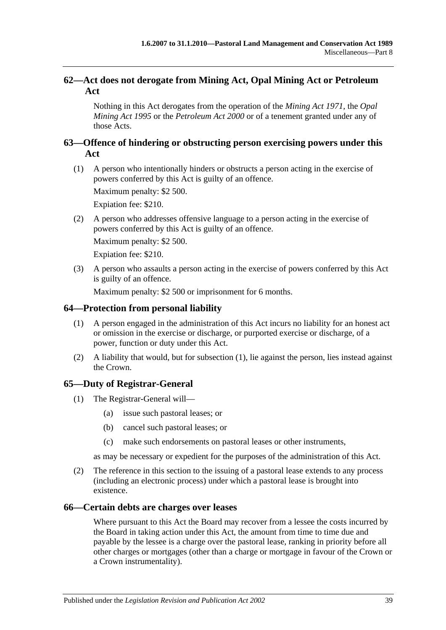## <span id="page-38-0"></span>**62—Act does not derogate from Mining Act, Opal Mining Act or Petroleum Act**

Nothing in this Act derogates from the operation of the *[Mining Act](http://www.legislation.sa.gov.au/index.aspx?action=legref&type=act&legtitle=Mining%20Act%201971) 1971*, the *[Opal](http://www.legislation.sa.gov.au/index.aspx?action=legref&type=act&legtitle=Opal%20Mining%20Act%201995)  [Mining Act](http://www.legislation.sa.gov.au/index.aspx?action=legref&type=act&legtitle=Opal%20Mining%20Act%201995) 1995* or the *[Petroleum Act](http://www.legislation.sa.gov.au/index.aspx?action=legref&type=act&legtitle=Petroleum%20Act%202000) 2000* or of a tenement granted under any of those Acts.

## <span id="page-38-1"></span>**63—Offence of hindering or obstructing person exercising powers under this Act**

(1) A person who intentionally hinders or obstructs a person acting in the exercise of powers conferred by this Act is guilty of an offence.

Maximum penalty: \$2 500.

Expiation fee: \$210.

(2) A person who addresses offensive language to a person acting in the exercise of powers conferred by this Act is guilty of an offence.

Maximum penalty: \$2 500.

Expiation fee: \$210.

(3) A person who assaults a person acting in the exercise of powers conferred by this Act is guilty of an offence.

Maximum penalty: \$2 500 or imprisonment for 6 months.

## <span id="page-38-5"></span><span id="page-38-2"></span>**64—Protection from personal liability**

- (1) A person engaged in the administration of this Act incurs no liability for an honest act or omission in the exercise or discharge, or purported exercise or discharge, of a power, function or duty under this Act.
- (2) A liability that would, but for [subsection](#page-38-5) (1), lie against the person, lies instead against the Crown.

## <span id="page-38-3"></span>**65—Duty of Registrar-General**

- (1) The Registrar-General will—
	- (a) issue such pastoral leases; or
	- (b) cancel such pastoral leases; or
	- (c) make such endorsements on pastoral leases or other instruments,

as may be necessary or expedient for the purposes of the administration of this Act.

(2) The reference in this section to the issuing of a pastoral lease extends to any process (including an electronic process) under which a pastoral lease is brought into existence.

## <span id="page-38-4"></span>**66—Certain debts are charges over leases**

Where pursuant to this Act the Board may recover from a lessee the costs incurred by the Board in taking action under this Act, the amount from time to time due and payable by the lessee is a charge over the pastoral lease, ranking in priority before all other charges or mortgages (other than a charge or mortgage in favour of the Crown or a Crown instrumentality).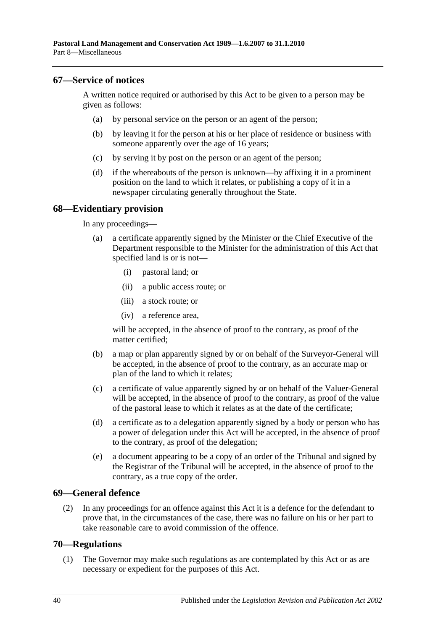#### <span id="page-39-0"></span>**67—Service of notices**

A written notice required or authorised by this Act to be given to a person may be given as follows:

- (a) by personal service on the person or an agent of the person;
- (b) by leaving it for the person at his or her place of residence or business with someone apparently over the age of 16 years;
- (c) by serving it by post on the person or an agent of the person;
- (d) if the whereabouts of the person is unknown—by affixing it in a prominent position on the land to which it relates, or publishing a copy of it in a newspaper circulating generally throughout the State.

#### <span id="page-39-1"></span>**68—Evidentiary provision**

In any proceedings—

- (a) a certificate apparently signed by the Minister or the Chief Executive of the Department responsible to the Minister for the administration of this Act that specified land is or is not—
	- (i) pastoral land; or
	- (ii) a public access route; or
	- (iii) a stock route; or
	- (iv) a reference area,

will be accepted, in the absence of proof to the contrary, as proof of the matter certified;

- (b) a map or plan apparently signed by or on behalf of the Surveyor-General will be accepted, in the absence of proof to the contrary, as an accurate map or plan of the land to which it relates;
- (c) a certificate of value apparently signed by or on behalf of the Valuer-General will be accepted, in the absence of proof to the contrary, as proof of the value of the pastoral lease to which it relates as at the date of the certificate;
- (d) a certificate as to a delegation apparently signed by a body or person who has a power of delegation under this Act will be accepted, in the absence of proof to the contrary, as proof of the delegation;
- (e) a document appearing to be a copy of an order of the Tribunal and signed by the Registrar of the Tribunal will be accepted, in the absence of proof to the contrary, as a true copy of the order.

#### <span id="page-39-2"></span>**69—General defence**

(2) In any proceedings for an offence against this Act it is a defence for the defendant to prove that, in the circumstances of the case, there was no failure on his or her part to take reasonable care to avoid commission of the offence.

#### <span id="page-39-4"></span><span id="page-39-3"></span>**70—Regulations**

(1) The Governor may make such regulations as are contemplated by this Act or as are necessary or expedient for the purposes of this Act.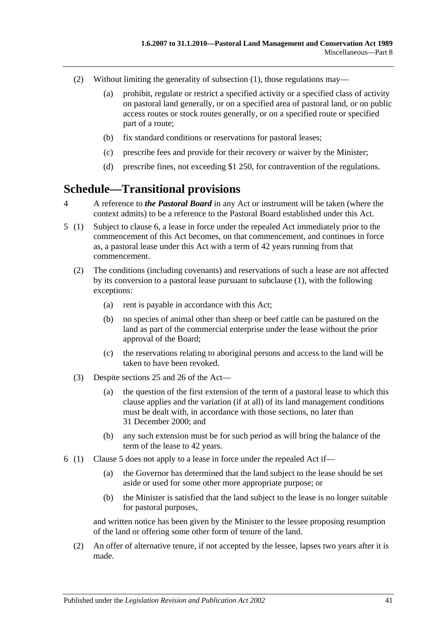- (2) Without limiting the generality of [subsection](#page-39-4) (1), those regulations may—
	- (a) prohibit, regulate or restrict a specified activity or a specified class of activity on pastoral land generally, or on a specified area of pastoral land, or on public access routes or stock routes generally, or on a specified route or specified part of a route;
	- (b) fix standard conditions or reservations for pastoral leases;
	- (c) prescribe fees and provide for their recovery or waiver by the Minister;
	- (d) prescribe fines, not exceeding \$1 250, for contravention of the regulations.

# <span id="page-40-0"></span>**Schedule—Transitional provisions**

- 4 A reference to *the Pastoral Board* in any Act or instrument will be taken (where the context admits) to be a reference to the Pastoral Board established under this Act.
- <span id="page-40-2"></span>5 (1) Subject to [clause](#page-40-1) 6, a lease in force under the repealed Act immediately prior to the commencement of this Act becomes, on that commencement, and continues in force as, a pastoral lease under this Act with a term of 42 years running from that commencement.
	- (2) The conditions (including covenants) and reservations of such a lease are not affected by its conversion to a pastoral lease pursuant to subclause (1), with the following exceptions:
		- (a) rent is payable in accordance with this Act;
		- (b) no species of animal other than sheep or beef cattle can be pastured on the land as part of the commercial enterprise under the lease without the prior approval of the Board;
		- (c) the reservations relating to aboriginal persons and access to the land will be taken to have been revoked.
	- (3) Despite [sections](#page-15-0) 25 and [26](#page-17-0) of the Act—
		- (a) the question of the first extension of the term of a pastoral lease to which this clause applies and the variation (if at all) of its land management conditions must be dealt with, in accordance with those sections, no later than 31 December 2000; and
		- (b) any such extension must be for such period as will bring the balance of the term of the lease to 42 years.
- <span id="page-40-1"></span>6 (1) [Clause](#page-40-2) 5 does not apply to a lease in force under the repealed Act if—
	- (a) the Governor has determined that the land subject to the lease should be set aside or used for some other more appropriate purpose; or
	- (b) the Minister is satisfied that the land subject to the lease is no longer suitable for pastoral purposes,

and written notice has been given by the Minister to the lessee proposing resumption of the land or offering some other form of tenure of the land.

(2) An offer of alternative tenure, if not accepted by the lessee, lapses two years after it is made.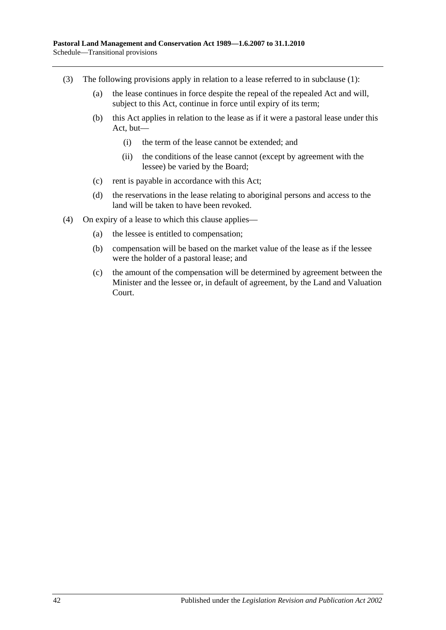- (3) The following provisions apply in relation to a lease referred to in subclause (1):
	- (a) the lease continues in force despite the repeal of the repealed Act and will, subject to this Act, continue in force until expiry of its term;
	- (b) this Act applies in relation to the lease as if it were a pastoral lease under this Act, but—
		- (i) the term of the lease cannot be extended; and
		- (ii) the conditions of the lease cannot (except by agreement with the lessee) be varied by the Board;
	- (c) rent is payable in accordance with this Act;
	- (d) the reservations in the lease relating to aboriginal persons and access to the land will be taken to have been revoked.
- (4) On expiry of a lease to which this clause applies—
	- (a) the lessee is entitled to compensation;
	- (b) compensation will be based on the market value of the lease as if the lessee were the holder of a pastoral lease; and
	- (c) the amount of the compensation will be determined by agreement between the Minister and the lessee or, in default of agreement, by the Land and Valuation Court.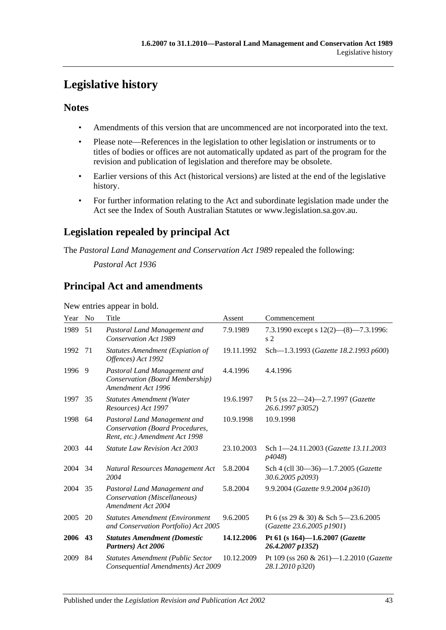# <span id="page-42-0"></span>**Legislative history**

## **Notes**

- Amendments of this version that are uncommenced are not incorporated into the text.
- Please note—References in the legislation to other legislation or instruments or to titles of bodies or offices are not automatically updated as part of the program for the revision and publication of legislation and therefore may be obsolete.
- Earlier versions of this Act (historical versions) are listed at the end of the legislative history.
- For further information relating to the Act and subordinate legislation made under the Act see the Index of South Australian Statutes or www.legislation.sa.gov.au.

# **Legislation repealed by principal Act**

The *Pastoral Land Management and Conservation Act 1989* repealed the following:

*Pastoral Act 1936*

## **Principal Act and amendments**

New entries appear in bold.

| Year | N <sub>o</sub> | Title                                                                                             | Assent     | Commencement                                                     |
|------|----------------|---------------------------------------------------------------------------------------------------|------------|------------------------------------------------------------------|
| 1989 | 51             | Pastoral Land Management and<br><b>Conservation Act 1989</b>                                      | 7.9.1989   | 7.3.1990 except s 12(2)-(8)-7.3.1996:<br>s <sub>2</sub>          |
| 1992 | 71             | <b>Statutes Amendment (Expiation of</b><br>Offences) Act 1992                                     | 19.11.1992 | Sch-1.3.1993 (Gazette 18.2.1993 p600)                            |
| 1996 | 9              | Pastoral Land Management and<br>Conservation (Board Membership)<br>Amendment Act 1996             | 4.4.1996   | 4.4.1996                                                         |
| 1997 | 35             | <b>Statutes Amendment (Water</b><br>Resources) Act 1997                                           | 19.6.1997  | Pt 5 (ss $22-24$ )-2.7.1997 ( <i>Gazette</i><br>26.6.1997 p3052) |
| 1998 | 64             | Pastoral Land Management and<br>Conservation (Board Procedures,<br>Rent, etc.) Amendment Act 1998 | 10.9.1998  | 10.9.1998                                                        |
| 2003 | 44             | <b>Statute Law Revision Act 2003</b>                                                              | 23.10.2003 | Sch 1-24.11.2003 (Gazette 13.11.2003)<br>p4048)                  |
| 2004 | 34             | Natural Resources Management Act<br>2004                                                          | 5.8.2004   | Sch 4 (cll 30-36)-1.7.2005 (Gazette<br>30.6.2005 p2093)          |
| 2004 | 35             | Pastoral Land Management and<br>Conservation (Miscellaneous)<br>Amendment Act 2004                | 5.8.2004   | 9.9.2004 (Gazette 9.9.2004 p3610)                                |
| 2005 | 20             | <b>Statutes Amendment (Environment</b><br>and Conservation Portfolio) Act 2005                    | 9.6.2005   | Pt 6 (ss 29 & 30) & Sch 5–23.6.2005<br>(Gazette 23.6.2005 p1901) |
| 2006 | 43             | <b>Statutes Amendment (Domestic</b><br>Partners) Act 2006                                         | 14.12.2006 | Pt 61 (s 164)-1.6.2007 (Gazette<br>26.4.2007 p1352)              |
| 2009 | 84             | <b>Statutes Amendment (Public Sector</b><br>Consequential Amendments) Act 2009                    | 10.12.2009 | Pt 109 (ss 260 & 261)-1.2.2010 (Gazette<br>28.1.2010 p320)       |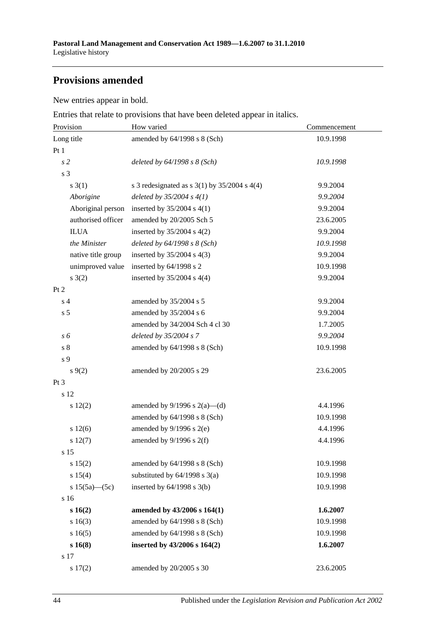# **Provisions amended**

New entries appear in bold.

Entries that relate to provisions that have been deleted appear in italics.

| Provision           | How varied                                         | Commencement |  |
|---------------------|----------------------------------------------------|--------------|--|
| Long title          | amended by 64/1998 s 8 (Sch)                       | 10.9.1998    |  |
| Pt 1                |                                                    |              |  |
| s <sub>2</sub>      | deleted by $64/1998 s 8 (Sch)$                     | 10.9.1998    |  |
| s 3                 |                                                    |              |  |
| $s \; 3(1)$         | s 3 redesignated as s $3(1)$ by $35/2004$ s $4(4)$ | 9.9.2004     |  |
| Aborigine           | deleted by $35/2004 s 4(1)$                        | 9.9.2004     |  |
| Aboriginal person   | inserted by $35/2004$ s 4(1)                       | 9.9.2004     |  |
| authorised officer  | amended by 20/2005 Sch 5                           | 23.6.2005    |  |
| <b>ILUA</b>         | inserted by $35/2004$ s $4(2)$                     | 9.9.2004     |  |
| the Minister        | deleted by $64/1998 s 8 (Sch)$                     | 10.9.1998    |  |
| native title group  | inserted by $35/2004$ s 4(3)                       | 9.9.2004     |  |
| unimproved value    | inserted by 64/1998 s 2                            | 10.9.1998    |  |
| $s \; 3(2)$         | inserted by $35/2004$ s $4(4)$                     | 9.9.2004     |  |
| Pt 2                |                                                    |              |  |
| s <sub>4</sub>      | amended by 35/2004 s 5                             | 9.9.2004     |  |
| s <sub>5</sub>      | amended by 35/2004 s 6                             | 9.9.2004     |  |
|                     | amended by 34/2004 Sch 4 cl 30                     | 1.7.2005     |  |
| s 6                 | deleted by 35/2004 s 7                             | 9.9.2004     |  |
| $\sqrt{s}$ 8        | amended by $64/1998$ s $8$ (Sch)                   | 10.9.1998    |  |
| s 9                 |                                                    |              |  |
| $s \, 9(2)$         | amended by 20/2005 s 29                            | 23.6.2005    |  |
| Pt <sub>3</sub>     |                                                    |              |  |
| s 12                |                                                    |              |  |
| 12(2)               | amended by $9/1996$ s $2(a)$ —(d)                  | 4.4.1996     |  |
|                     | amended by $64/1998$ s $8$ (Sch)                   | 10.9.1998    |  |
| s 12(6)             | amended by $9/1996$ s $2(e)$                       | 4.4.1996     |  |
| s 12(7)             | amended by $9/1996$ s $2(f)$                       | 4.4.1996     |  |
| s 15                |                                                    |              |  |
| s 15(2)             | amended by 64/1998 s 8 (Sch)                       | 10.9.1998    |  |
| s 15(4)             | substituted by $64/1998$ s $3(a)$                  | 10.9.1998    |  |
| s $15(5a)$ - $(5c)$ | inserted by 64/1998 s 3(b)                         | 10.9.1998    |  |
| s 16                |                                                    |              |  |
| s 16(2)             | amended by 43/2006 s 164(1)                        | 1.6.2007     |  |
| s 16(3)             | amended by 64/1998 s 8 (Sch)                       | 10.9.1998    |  |
| s16(5)              | amended by 64/1998 s 8 (Sch)                       | 10.9.1998    |  |
| s 16(8)             | inserted by 43/2006 s 164(2)                       | 1.6.2007     |  |
| s 17                |                                                    |              |  |
| s 17(2)             | amended by 20/2005 s 30                            | 23.6.2005    |  |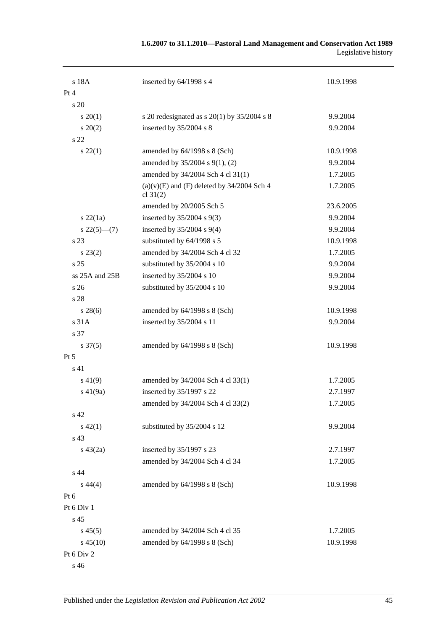| 1.6.2007 to 31.1.2010—Pastoral Land Management and Conservation Act 1989 |                     |
|--------------------------------------------------------------------------|---------------------|
|                                                                          | Legislative history |

| s 18A               | inserted by 64/1998 s 4                                      | 10.9.1998 |
|---------------------|--------------------------------------------------------------|-----------|
| Pt 4                |                                                              |           |
| $\frac{1}{20}$      |                                                              |           |
| $s \, 20(1)$        | s 20 redesignated as s $20(1)$ by $35/2004$ s 8              | 9.9.2004  |
| $s\,20(2)$          | inserted by 35/2004 s 8                                      | 9.9.2004  |
| s 22                |                                                              |           |
| $s\,22(1)$          | amended by $64/1998$ s $8$ (Sch)                             | 10.9.1998 |
|                     | amended by 35/2004 s 9(1), (2)                               | 9.9.2004  |
|                     | amended by 34/2004 Sch 4 cl 31(1)                            | 1.7.2005  |
|                     | $(a)(v)(E)$ and $(F)$ deleted by 34/2004 Sch 4<br>cl $31(2)$ | 1.7.2005  |
|                     | amended by 20/2005 Sch 5                                     | 23.6.2005 |
| $s$ 22 $(1a)$       | inserted by $35/2004$ s $9(3)$                               | 9.9.2004  |
| $s\,22(5)$ —(7)     | inserted by $35/2004$ s $9(4)$                               | 9.9.2004  |
| s 23                | substituted by 64/1998 s 5                                   | 10.9.1998 |
| $s\,23(2)$          | amended by 34/2004 Sch 4 cl 32                               | 1.7.2005  |
| s <sub>25</sub>     | substituted by 35/2004 s 10                                  | 9.9.2004  |
| ss 25A and 25B      | inserted by 35/2004 s 10                                     | 9.9.2004  |
| s <sub>26</sub>     | substituted by 35/2004 s 10                                  | 9.9.2004  |
| s 28                |                                                              |           |
| $s\,28(6)$          | amended by 64/1998 s 8 (Sch)                                 | 10.9.1998 |
| s 31A               | inserted by 35/2004 s 11                                     | 9.9.2004  |
| s 37                |                                                              |           |
| $s \frac{37(5)}{2}$ | amended by $64/1998$ s $8$ (Sch)                             | 10.9.1998 |
| Pt 5                |                                                              |           |
| s <sub>41</sub>     |                                                              |           |
| $s\,41(9)$          | amended by 34/2004 Sch 4 cl 33(1)                            | 1.7.2005  |
| $s\ 41(9a)$         | inserted by 35/1997 s 22                                     | 2.7.1997  |
|                     | amended by 34/2004 Sch 4 cl 33(2)                            | 1.7.2005  |
| s 42                |                                                              |           |
| $s\ 42(1)$          | substituted by 35/2004 s 12                                  | 9.9.2004  |
| s 43                |                                                              |           |
| $s\ 43(2a)$         | inserted by 35/1997 s 23                                     | 2.7.1997  |
|                     | amended by 34/2004 Sch 4 cl 34                               | 1.7.2005  |
| s 44                |                                                              |           |
| $s\,44(4)$          | amended by 64/1998 s 8 (Sch)                                 | 10.9.1998 |
| $Pt\ 6$             |                                                              |           |
| Pt 6 Div 1          |                                                              |           |
| s 45                |                                                              |           |
| $s\,45(5)$          | amended by 34/2004 Sch 4 cl 35                               | 1.7.2005  |
| $s\,45(10)$         | amended by 64/1998 s 8 (Sch)                                 | 10.9.1998 |
| Pt 6 Div 2          |                                                              |           |
| s 46                |                                                              |           |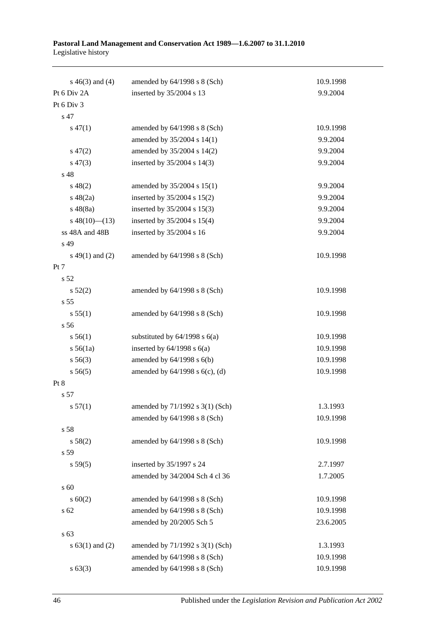| Pastoral Land Management and Conservation Act 1989-1.6.2007 to 31.1.2010 |  |  |  |
|--------------------------------------------------------------------------|--|--|--|
| Legislative history                                                      |  |  |  |

| $s\ 46(3)$ and (4)  | amended by $64/1998$ s $8$ (Sch)    | 10.9.1998 |
|---------------------|-------------------------------------|-----------|
| Pt 6 Div 2A         | inserted by 35/2004 s 13            | 9.9.2004  |
| Pt 6 Div 3          |                                     |           |
| s 47                |                                     |           |
| $s\,47(1)$          | amended by 64/1998 s 8 (Sch)        | 10.9.1998 |
|                     | amended by 35/2004 s 14(1)          | 9.9.2004  |
| $s\,47(2)$          | amended by 35/2004 s 14(2)          | 9.9.2004  |
| $s\,47(3)$          | inserted by 35/2004 s 14(3)         | 9.9.2004  |
| s 48                |                                     |           |
| $s\,48(2)$          | amended by 35/2004 s 15(1)          | 9.9.2004  |
| $s\ 48(2a)$         | inserted by 35/2004 s 15(2)         | 9.9.2004  |
| $s\,48(8a)$         | inserted by 35/2004 s 15(3)         | 9.9.2004  |
| $s\ 48(10)$ (13)    | inserted by 35/2004 s 15(4)         | 9.9.2004  |
| ss 48A and 48B      | inserted by 35/2004 s 16            | 9.9.2004  |
| s 49                |                                     |           |
| $s\ 49(1)$ and (2)  | amended by 64/1998 s 8 (Sch)        | 10.9.1998 |
| Pt 7                |                                     |           |
| s 52                |                                     |           |
| s 52(2)             | amended by 64/1998 s 8 (Sch)        | 10.9.1998 |
| s 55                |                                     |           |
| s 55(1)             | amended by $64/1998$ s $8$ (Sch)    | 10.9.1998 |
| s 56                |                                     |           |
| s 56(1)             | substituted by $64/1998$ s $6(a)$   | 10.9.1998 |
| $s\,56(1a)$         | inserted by $64/1998$ s $6(a)$      | 10.9.1998 |
| $s\,56(3)$          | amended by $64/1998$ s $6(b)$       | 10.9.1998 |
| s 56(5)             | amended by $64/1998$ s $6(c)$ , (d) | 10.9.1998 |
| Pt 8                |                                     |           |
| s 57                |                                     |           |
| s 57(1)             | amended by 71/1992 s 3(1) (Sch)     | 1.3.1993  |
|                     | amended by 64/1998 s 8 (Sch)        | 10.9.1998 |
| s 58                |                                     |           |
| s 58(2)             | amended by 64/1998 s 8 (Sch)        | 10.9.1998 |
| s 59                |                                     |           |
| s 59(5)             | inserted by 35/1997 s 24            | 2.7.1997  |
|                     | amended by 34/2004 Sch 4 cl 36      | 1.7.2005  |
| s 60                |                                     |           |
| s 60(2)             | amended by 64/1998 s 8 (Sch)        | 10.9.1998 |
| s 62                | amended by 64/1998 s 8 (Sch)        | 10.9.1998 |
|                     | amended by 20/2005 Sch 5            | 23.6.2005 |
| s 63                |                                     |           |
| s $63(1)$ and $(2)$ | amended by 71/1992 s 3(1) (Sch)     | 1.3.1993  |
|                     | amended by 64/1998 s 8 (Sch)        | 10.9.1998 |
| s 63(3)             | amended by 64/1998 s 8 (Sch)        | 10.9.1998 |